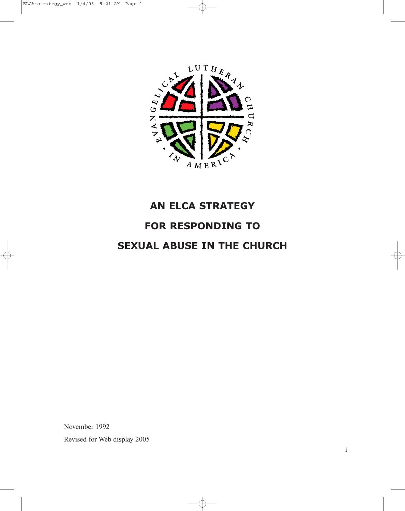

# **AN ELCA STRATEGY FOR RESPONDING TO SEXUAL ABUSE IN THE CHURCH**

November 1992 Revised for Web display 2005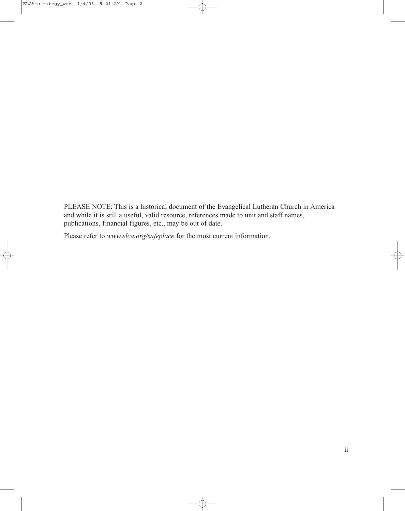PLEASE NOTE: This is a historical document of the Evangelical Lutheran Church in America and while it is still a useful, valid resource, references made to unit and staff names, publications, financial figures, etc., may be out of date.

Please refer to *www.elca.org/safeplace* for the most current information.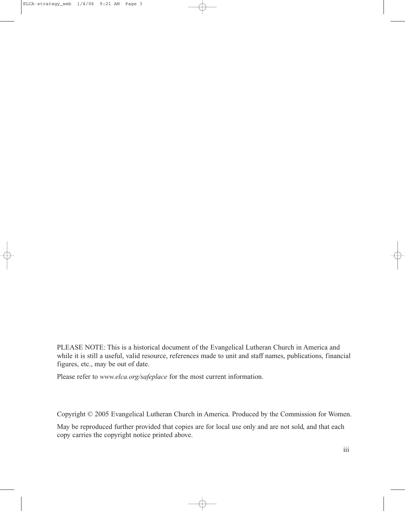PLEASE NOTE: This is a historical document of the Evangelical Lutheran Church in America and while it is still a useful, valid resource, references made to unit and staff names, publications, financial figures, etc., may be out of date.

Please refer to *www.elca.org/safeplace* for the most current information.

Copyright © 2005 Evangelical Lutheran Church in America. Produced by the Commission for Women.

May be reproduced further provided that copies are for local use only and are not sold, and that each copy carries the copyright notice printed above.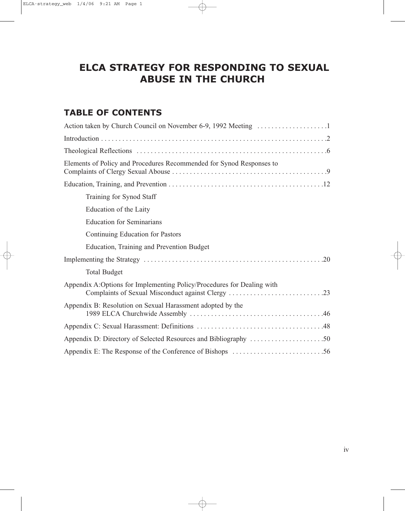## **ELCA STRATEGY FOR RESPONDING TO SEXUAL ABUSE IN THE CHURCH**

## **TABLE OF CONTENTS**

| Elements of Policy and Procedures Recommended for Synod Responses to   |
|------------------------------------------------------------------------|
|                                                                        |
| Training for Synod Staff                                               |
| Education of the Laity                                                 |
| <b>Education for Seminarians</b>                                       |
| Continuing Education for Pastors                                       |
| Education, Training and Prevention Budget                              |
|                                                                        |
| <b>Total Budget</b>                                                    |
| Appendix A:Options for Implementing Policy/Procedures for Dealing with |
| Appendix B: Resolution on Sexual Harassment adopted by the             |
|                                                                        |
|                                                                        |
|                                                                        |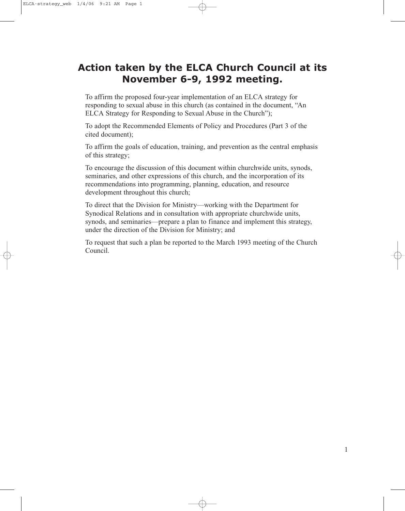## **Action taken by the ELCA Church Council at its November 6-9, 1992 meeting.**

To affirm the proposed four-year implementation of an ELCA strategy for responding to sexual abuse in this church (as contained in the document, "An ELCA Strategy for Responding to Sexual Abuse in the Church");

To adopt the Recommended Elements of Policy and Procedures (Part 3 of the cited document);

To affirm the goals of education, training, and prevention as the central emphasis of this strategy;

To encourage the discussion of this document within churchwide units, synods, seminaries, and other expressions of this church, and the incorporation of its recommendations into programming, planning, education, and resource development throughout this church;

To direct that the Division for Ministry—working with the Department for Synodical Relations and in consultation with appropriate churchwide units, synods, and seminaries—prepare a plan to finance and implement this strategy, under the direction of the Division for Ministry; and

To request that such a plan be reported to the March 1993 meeting of the Church Council.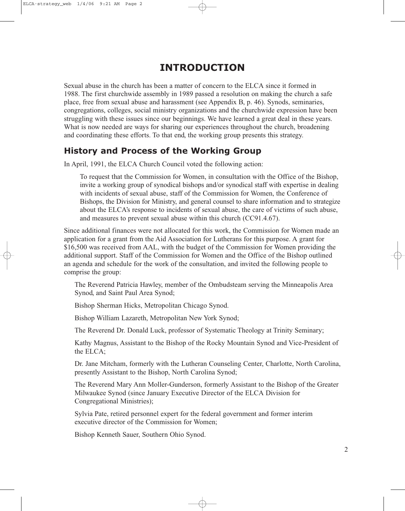## **INTRODUCTION**

Sexual abuse in the church has been a matter of concern to the ELCA since it formed in 1988. The first churchwide assembly in 1989 passed a resolution on making the church a safe place, free from sexual abuse and harassment (see Appendix B, p. 46). Synods, seminaries, congregations, colleges, social ministry organizations and the churchwide expression have been struggling with these issues since our beginnings. We have learned a great deal in these years. What is now needed are ways for sharing our experiences throughout the church, broadening and coordinating these efforts. To that end, the working group presents this strategy.

### **History and Process of the Working Group**

In April, 1991, the ELCA Church Council voted the following action:

To request that the Commission for Women, in consultation with the Office of the Bishop, invite a working group of synodical bishops and/or synodical staff with expertise in dealing with incidents of sexual abuse, staff of the Commission for Women, the Conference of Bishops, the Division for Ministry, and general counsel to share information and to strategize about the ELCA's response to incidents of sexual abuse, the care of victims of such abuse, and measures to prevent sexual abuse within this church (CC91.4.67).

Since additional finances were not allocated for this work, the Commission for Women made an application for a grant from the Aid Association for Lutherans for this purpose. A grant for \$16,500 was received from AAL, with the budget of the Commission for Women providing the additional support. Staff of the Commission for Women and the Office of the Bishop outlined an agenda and schedule for the work of the consultation, and invited the following people to comprise the group:

The Reverend Patricia Hawley, member of the Ombudsteam serving the Minneapolis Area Synod, and Saint Paul Area Synod;

Bishop Sherman Hicks, Metropolitan Chicago Synod.

Bishop William Lazareth, Metropolitan New York Synod;

The Reverend Dr. Donald Luck, professor of Systematic Theology at Trinity Seminary;

Kathy Magnus, Assistant to the Bishop of the Rocky Mountain Synod and Vice-President of the ELCA;

Dr. Jane Mitcham, formerly with the Lutheran Counseling Center, Charlotte, North Carolina, presently Assistant to the Bishop, North Carolina Synod;

The Reverend Mary Ann Moller-Gunderson, formerly Assistant to the Bishop of the Greater Milwaukee Synod (since January Executive Director of the ELCA Division for Congregational Ministries);

Sylvia Pate, retired personnel expert for the federal government and former interim executive director of the Commission for Women;

Bishop Kenneth Sauer, Southern Ohio Synod.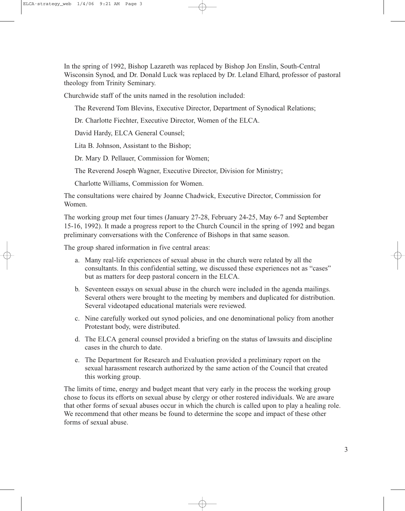In the spring of 1992, Bishop Lazareth was replaced by Bishop Jon Enslin, South-Central Wisconsin Synod, and Dr. Donald Luck was replaced by Dr. Leland Elhard, professor of pastoral theology from Trinity Seminary.

Churchwide staff of the units named in the resolution included:

The Reverend Tom Blevins, Executive Director, Department of Synodical Relations;

Dr. Charlotte Fiechter, Executive Director, Women of the ELCA.

David Hardy, ELCA General Counsel;

Lita B. Johnson, Assistant to the Bishop;

Dr. Mary D. Pellauer, Commission for Women;

The Reverend Joseph Wagner, Executive Director, Division for Ministry;

Charlotte Williams, Commission for Women.

The consultations were chaired by Joanne Chadwick, Executive Director, Commission for Women.

The working group met four times (January 27-28, February 24-25, May 6-7 and September 15-16, 1992). It made a progress report to the Church Council in the spring of 1992 and began preliminary conversations with the Conference of Bishops in that same season.

The group shared information in five central areas:

- a. Many real-life experiences of sexual abuse in the church were related by all the consultants. In this confidential setting, we discussed these experiences not as "cases" but as matters for deep pastoral concern in the ELCA.
- b. Seventeen essays on sexual abuse in the church were included in the agenda mailings. Several others were brought to the meeting by members and duplicated for distribution. Several videotaped educational materials were reviewed.
- c. Nine carefully worked out synod policies, and one denominational policy from another Protestant body, were distributed.
- d. The ELCA general counsel provided a briefing on the status of lawsuits and discipline cases in the church to date.
- e. The Department for Research and Evaluation provided a preliminary report on the sexual harassment research authorized by the same action of the Council that created this working group.

The limits of time, energy and budget meant that very early in the process the working group chose to focus its efforts on sexual abuse by clergy or other rostered individuals. We are aware that other forms of sexual abuses occur in which the church is called upon to play a healing role. We recommend that other means be found to determine the scope and impact of these other forms of sexual abuse.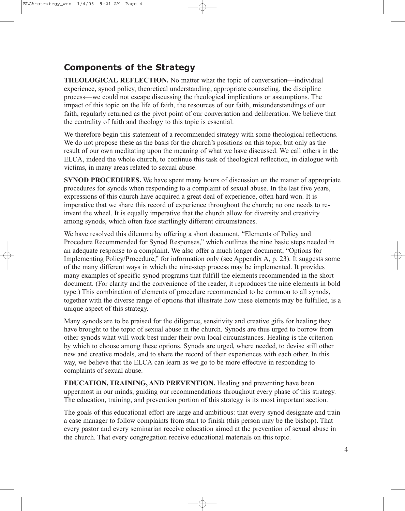## **Components of the Strategy**

**THEOLOGICAL REFLECTION.** No matter what the topic of conversation—individual experience, synod policy, theoretical understanding, appropriate counseling, the discipline process—we could not escape discussing the theological implications or assumptions. The impact of this topic on the life of faith, the resources of our faith, misunderstandings of our faith, regularly returned as the pivot point of our conversation and deliberation. We believe that the centrality of faith and theology to this topic is essential.

We therefore begin this statement of a recommended strategy with some theological reflections. We do not propose these as the basis for the church's positions on this topic, but only as the result of our own meditating upon the meaning of what we have discussed. We call others in the ELCA, indeed the whole church, to continue this task of theological reflection, in dialogue with victims, in many areas related to sexual abuse.

**SYNOD PROCEDURES.** We have spent many hours of discussion on the matter of appropriate procedures for synods when responding to a complaint of sexual abuse. In the last five years, expressions of this church have acquired a great deal of experience, often hard won. It is imperative that we share this record of experience throughout the church; no one needs to reinvent the wheel. It is equally imperative that the church allow for diversity and creativity among synods, which often face startlingly different circumstances.

We have resolved this dilemma by offering a short document, "Elements of Policy and Procedure Recommended for Synod Responses," which outlines the nine basic steps needed in an adequate response to a complaint. We also offer a much longer document, "Options for Implementing Policy/Procedure," for information only (see Appendix A, p. 23). It suggests some of the many different ways in which the nine-step process may be implemented. It provides many examples of specific synod programs that fulfill the elements recommended in the short document. (For clarity and the convenience of the reader, it reproduces the nine elements in bold type.) This combination of elements of procedure recommended to be common to all synods, together with the diverse range of options that illustrate how these elements may be fulfilled, is a unique aspect of this strategy.

Many synods are to be praised for the diligence, sensitivity and creative gifts for healing they have brought to the topic of sexual abuse in the church. Synods are thus urged to borrow from other synods what will work best under their own local circumstances. Healing is the criterion by which to choose among these options. Synods are urged, where needed, to devise still other new and creative models, and to share the record of their experiences with each other. In this way, we believe that the ELCA can learn as we go to be more effective in responding to complaints of sexual abuse.

**EDUCATION, TRAINING, AND PREVENTION.** Healing and preventing have been uppermost in our minds, guiding our recommendations throughout every phase of this strategy. The education, training, and prevention portion of this strategy is its most important section.

The goals of this educational effort are large and ambitious: that every synod designate and train a case manager to follow complaints from start to finish (this person may be the bishop). That every pastor and every seminarian receive education aimed at the prevention of sexual abuse in the church. That every congregation receive educational materials on this topic.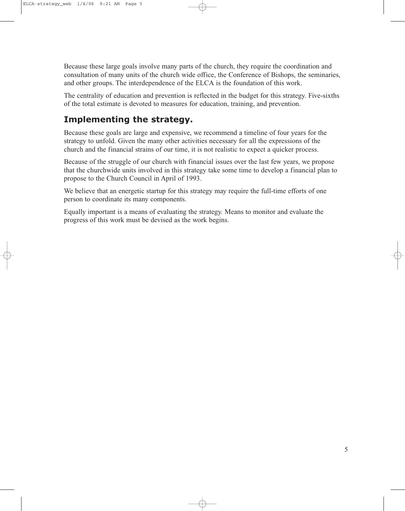Because these large goals involve many parts of the church, they require the coordination and consultation of many units of the church wide office, the Conference of Bishops, the seminaries, and other groups. The interdependence of the ELCA is the foundation of this work.

The centrality of education and prevention is reflected in the budget for this strategy. Five-sixths of the total estimate is devoted to measures for education, training, and prevention.

## **Implementing the strategy.**

Because these goals are large and expensive, we recommend a timeline of four years for the strategy to unfold. Given the many other activities necessary for all the expressions of the church and the financial strains of our time, it is not realistic to expect a quicker process.

Because of the struggle of our church with financial issues over the last few years, we propose that the churchwide units involved in this strategy take some time to develop a financial plan to propose to the Church Council in April of 1993.

We believe that an energetic startup for this strategy may require the full-time efforts of one person to coordinate its many components.

Equally important is a means of evaluating the strategy. Means to monitor and evaluate the progress of this work must be devised as the work begins.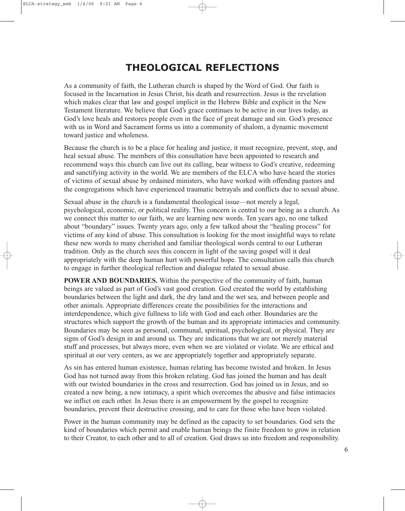## **THEOLOGICAL REFLECTIONS**

As a community of faith, the Lutheran church is shaped by the Word of God. Our faith is focused in the Incarnation in Jesus Christ, his death and resurrection. Jesus is the revelation which makes clear that law and gospel implicit in the Hebrew Bible and explicit in the New Testament literature. We believe that God's grace continues to be active in our lives today, as God's love heals and restores people even in the face of great damage and sin. God's presence with us in Word and Sacrament forms us into a community of shalom, a dynamic movement toward justice and wholeness.

Because the church is to be a place for healing and justice, it must recognize, prevent, stop, and heal sexual abuse. The members of this consultation have been appointed to research and recommend ways this church can live out its calling, bear witness to God's creative, redeeming and sanctifying activity in the world. We are members of the ELCA who have heard the stories of victims of sexual abuse by ordained ministers, who have worked with offending pastors and the congregations which have experienced traumatic betrayals and conflicts due to sexual abuse.

Sexual abuse in the church is a fundamental theological issue—not merely a legal, psychological, economic, or political reality. This concern is central to our being as a church. As we connect this matter to our faith, we are learning new words. Ten years ago, no one talked about "boundary" issues. Twenty years ago, only a few talked about the "healing process" for victims of any kind of abuse. This consultation is looking for the most insightful ways to relate these new words to many cherished and familiar theological words central to our Lutheran tradition. Only as the church sees this concern in light of the saving gospel will it deal appropriately with the deep human hurt with powerful hope. The consultation calls this church to engage in further theological reflection and dialogue related to sexual abuse.

**POWER AND BOUNDARIES.** Within the perspective of the community of faith, human beings are valued as part of God's vast good creation. God created the world by establishing boundaries between the light and dark, the dry land and the wet sea, and between people and other animals. Appropriate differences create the possibilities for the interactions and interdependence, which give fullness to life with God and each other. Boundaries are the structures which support the growth of the human and its appropriate intimacies and community. Boundaries may be seen as personal, communal, spiritual, psychological, or physical. They are signs of God's design in and around us. They are indications that we are not merely material stuff and processes, but always more, even when we are violated or violate. We are ethical and spiritual at our very centers, as we are appropriately together and appropriately separate.

As sin has entered human existence, human relating has become twisted and broken. In Jesus God has not turned away from this broken relating. God has joined the human and has dealt with our twisted boundaries in the cross and resurrection. God has joined us in Jesus, and so created a new being, a new intimacy, a spirit which overcomes the abusive and false intimacies we inflict on each other. In Jesus there is an empowerment by the gospel to recognize boundaries, prevent their destructive crossing, and to care for those who have been violated.

Power in the human community may be defined as the capacity to set boundaries. God sets the kind of boundaries which permit and enable human beings the finite freedom to grow in relation to their Creator, to each other and to all of creation. God draws us into freedom and responsibility.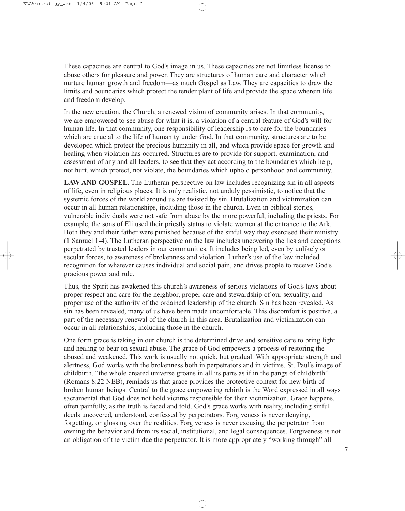These capacities are central to God's image in us. These capacities are not limitless license to abuse others for pleasure and power. They are structures of human care and character which nurture human growth and freedom—as much Gospel as Law. They are capacities to draw the limits and boundaries which protect the tender plant of life and provide the space wherein life and freedom develop.

In the new creation, the Church, a renewed vision of community arises. In that community, we are empowered to see abuse for what it is, a violation of a central feature of God's will for human life. In that community, one responsibility of leadership is to care for the boundaries which are crucial to the life of humanity under God. In that community, structures are to be developed which protect the precious humanity in all, and which provide space for growth and healing when violation has occurred. Structures are to provide for support, examination, and assessment of any and all leaders, to see that they act according to the boundaries which help, not hurt, which protect, not violate, the boundaries which uphold personhood and community.

LAW AND GOSPEL. The Lutheran perspective on law includes recognizing sin in all aspects of life, even in religious places. It is only realistic, not unduly pessimistic, to notice that the systemic forces of the world around us are twisted by sin. Brutalization and victimization can occur in all human relationships, including those in the church. Even in biblical stories, vulnerable individuals were not safe from abuse by the more powerful, including the priests. For example, the sons of Eli used their priestly status to violate women at the entrance to the Ark. Both they and their father were punished because of the sinful way they exercised their ministry (1 Samuel 1-4). The Lutheran perspective on the law includes uncovering the lies and deceptions perpetrated by trusted leaders in our communities. It includes being led, even by unlikely or secular forces, to awareness of brokenness and violation. Luther's use of the law included recognition for whatever causes individual and social pain, and drives people to receive God's gracious power and rule.

Thus, the Spirit has awakened this church's awareness of serious violations of God's laws about proper respect and care for the neighbor, proper care and stewardship of our sexuality, and proper use of the authority of the ordained leadership of the church. Sin has been revealed. As sin has been revealed, many of us have been made uncomfortable. This discomfort is positive, a part of the necessary renewal of the church in this area. Brutalization and victimization can occur in all relationships, including those in the church.

One form grace is taking in our church is the determined drive and sensitive care to bring light and healing to bear on sexual abuse. The grace of God empowers a process of restoring the abused and weakened. This work is usually not quick, but gradual. With appropriate strength and alertness, God works with the brokenness both in perpetrators and in victims. St. Paul's image of childbirth, "the whole created universe groans in all its parts as if in the pangs of childbirth" (Romans 8:22 NEB), reminds us that grace provides the protective context for new birth of broken human beings. Central to the grace empowering rebirth is the Word expressed in all ways sacramental that God does not hold victims responsible for their victimization. Grace happens, often painfully, as the truth is faced and told. God's grace works with reality, including sinful deeds uncovered, understood, confessed by perpetrators. Forgiveness is never denying, forgetting, or glossing over the realities. Forgiveness is never excusing the perpetrator from owning the behavior and from its social, institutional, and legal consequences. Forgiveness is not an obligation of the victim due the perpetrator. It is more appropriately "working through" all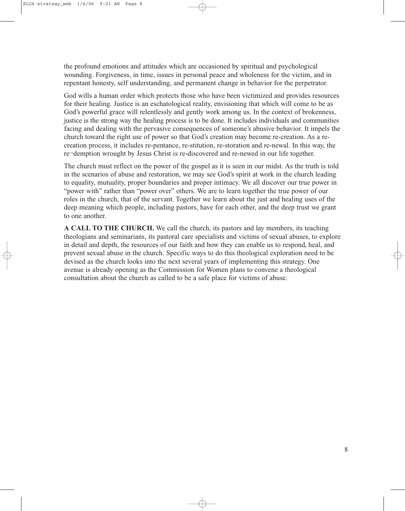the profound emotions and attitudes which are occasioned by spiritual and psychological wounding. Forgiveness, in time, issues in personal peace and wholeness for the victim, and in repentant honesty, self understanding, and permanent change in behavior for the perpetrator.

God wills a human order which protects those who have been victimized and provides resources for their healing. Justice is an eschatological reality, envisioning that which will come to be as God's powerful grace will relentlessly and gently work among us. In the context of brokenness, justice is the strong way the healing process is to be done. It includes individuals and communities facing and dealing with the pervasive consequences of someone's abusive behavior. It impels the church toward the right use of power so that God's creation may become re-creation. As a recreation process, it includes re-pentance, re-stitution, re-storation and re-newal. In this way, the re¬demption wrought by Jesus Christ is re-discovered and re-newed in our life together.

The church must reflect on the power of the gospel as it is seen in our midst. As the truth is told in the scenarios of abuse and restoration, we may see God's spirit at work in the church leading to equality, mutuality, proper boundaries and proper intimacy. We all discover our true power in "power with" rather than "power over" others. We are to learn together the true power of our roles in the church, that of the servant. Together we learn about the just and healing uses of the deep meaning which people, including pastors, have for each other, and the deep trust we grant to one another.

**A CALL TO THE CHURCH.** We call the church, its pastors and lay members, its teaching theologians and seminarians, its pastoral care specialists and victims of sexual abuses, to explore in detail and depth, the resources of our faith and how they can enable us to respond, heal, and prevent sexual abuse in the church. Specific ways to do this theological exploration need to be devised as the church looks into the next several years of implementing this strategy. One avenue is already opening as the Commission for Women plans to convene a theological consultation about the church as called to be a safe place for victims of abuse.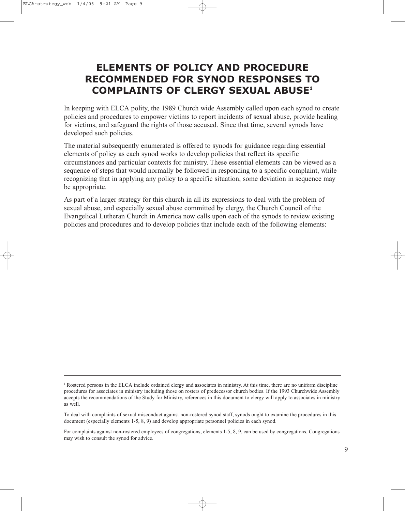## **ELEMENTS OF POLICY AND PROCEDURE RECOMMENDED FOR SYNOD RESPONSES TO COMPLAINTS OF CLERGY SEXUAL ABUSE1**

In keeping with ELCA polity, the 1989 Church wide Assembly called upon each synod to create policies and procedures to empower victims to report incidents of sexual abuse, provide healing for victims, and safeguard the rights of those accused. Since that time, several synods have developed such policies.

The material subsequently enumerated is offered to synods for guidance regarding essential elements of policy as each synod works to develop policies that reflect its specific circumstances and particular contexts for ministry. These essential elements can be viewed as a sequence of steps that would normally be followed in responding to a specific complaint, while recognizing that in applying any policy to a specific situation, some deviation in sequence may be appropriate.

As part of a larger strategy for this church in all its expressions to deal with the problem of sexual abuse, and especially sexual abuse committed by clergy, the Church Council of the Evangelical Lutheran Church in America now calls upon each of the synods to review existing policies and procedures and to develop policies that include each of the following elements:

<sup>1</sup> Rostered persons in the ELCA include ordained clergy and associates in ministry. At this time, there are no uniform discipline procedures for associates in ministry including those on rosters of predecessor church bodies. If the 1993 Churchwide Assembly accepts the recommendations of the Study for Ministry, references in this document to clergy will apply to associates in ministry as well.

To deal with complaints of sexual misconduct against non-rostered synod staff, synods ought to examine the procedures in this document (especially elements 1-5, 8, 9) and develop appropriate personnel policies in each synod.

For complaints against non-rostered employees of congregations, elements 1-5, 8, 9, can be used by congregations. Congregations may wish to consult the synod for advice.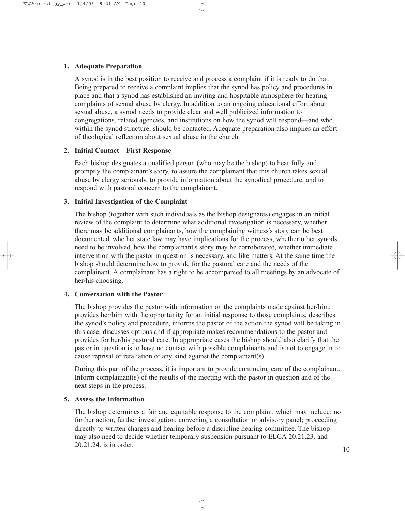#### **1. Adequate Preparation**

A synod is in the best position to receive and process a complaint if it is ready to do that. Being prepared to receive a complaint implies that the synod has policy and procedures in place and that a synod has established an inviting and hospitable atmosphere for hearing complaints of sexual abuse by clergy. In addition to an ongoing educational effort about sexual abuse, a synod needs to provide clear and well publicized information to congregations, related agencies, and institutions on how the synod will respond—and who, within the synod structure, should be contacted. Adequate preparation also implies an effort of theological reflection about sexual abuse in the church.

#### **2. Initial Contact—First Response**

Each bishop designates a qualified person (who may be the bishop) to hear fully and promptly the complainant's story, to assure the complainant that this church takes sexual abuse by clergy seriously, to provide information about the synodical procedure, and to respond with pastoral concern to the complainant.

#### **3. Initial Investigation of the Complaint**

The bishop (together with such individuals as the bishop designates) engages in an initial review of the complaint to determine what additional investigation is necessary, whether there may be additional complainants, how the complaining witness's story can be best documented, whether state law may have implications for the process, whether other synods need to be involved, how the complainant's story may be corroborated, whether immediate intervention with the pastor in question is necessary, and like matters. At the same time the bishop should determine how to provide for the pastoral care and the needs of the complainant. A complainant has a right to be accompanied to all meetings by an advocate of her/his choosing.

#### **4. Conversation with the Pastor**

The bishop provides the pastor with information on the complaints made against her/him, provides her/him with the opportunity for an initial response to those complaints, describes the synod's policy and procedure, informs the pastor of the action the synod will be taking in this case, discusses options and if appropriate makes recommendations to the pastor and provides for her/his pastoral care. In appropriate cases the bishop should also clarify that the pastor in question is to have no contact with possible complainants and is not to engage in or cause reprisal or retaliation of any kind against the complainant(s).

During this part of the process, it is important to provide continuing care of the complainant. Inform complainant(s) of the results of the meeting with the pastor in question and of the next steps in the process.

#### **5. Assess the Information**

The bishop determines a fair and equitable response to the complaint, which may include: no further action, further investigation; convening a consultation or advisory panel; proceeding directly to written charges and hearing before a discipline hearing committee. The bishop may also need to decide whether temporary suspension pursuant to ELCA 20.21.23. and 20.21.24. is in order.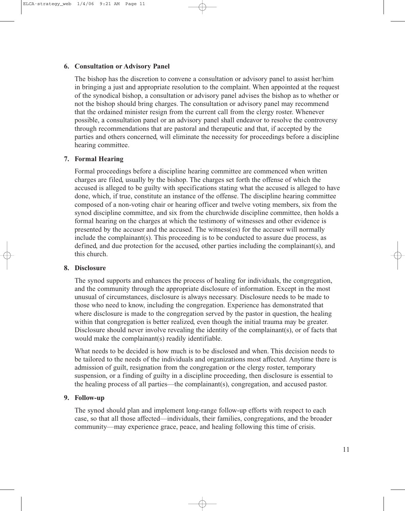#### **6. Consultation or Advisory Panel**

The bishop has the discretion to convene a consultation or advisory panel to assist her/him in bringing a just and appropriate resolution to the complaint. When appointed at the request of the synodical bishop, a consultation or advisory panel advises the bishop as to whether or not the bishop should bring charges. The consultation or advisory panel may recommend that the ordained minister resign from the current call from the clergy roster. Whenever possible, a consultation panel or an advisory panel shall endeavor to resolve the controversy through recommendations that are pastoral and therapeutic and that, if accepted by the parties and others concerned, will eliminate the necessity for proceedings before a discipline hearing committee.

#### **7. Formal Hearing**

Formal proceedings before a discipline hearing committee are commenced when written charges are filed, usually by the bishop. The charges set forth the offense of which the accused is alleged to be guilty with specifications stating what the accused is alleged to have done, which, if true, constitute an instance of the offense. The discipline hearing committee composed of a non-voting chair or hearing officer and twelve voting members, six from the synod discipline committee, and six from the churchwide discipline committee, then holds a formal hearing on the charges at which the testimony of witnesses and other evidence is presented by the accuser and the accused. The witness(es) for the accuser will normally include the complainant(s). This proceeding is to be conducted to assure due process, as defined, and due protection for the accused, other parties including the complainant(s), and this church.

#### **8. Disclosure**

The synod supports and enhances the process of healing for individuals, the congregation, and the community through the appropriate disclosure of information. Except in the most unusual of circumstances, disclosure is always necessary. Disclosure needs to be made to those who need to know, including the congregation. Experience has demonstrated that where disclosure is made to the congregation served by the pastor in question, the healing within that congregation is better realized, even though the initial trauma may be greater. Disclosure should never involve revealing the identity of the complainant(s), or of facts that would make the complainant(s) readily identifiable.

What needs to be decided is how much is to be disclosed and when. This decision needs to be tailored to the needs of the individuals and organizations most affected. Anytime there is admission of guilt, resignation from the congregation or the clergy roster, temporary suspension, or a finding of guilty in a discipline proceeding, then disclosure is essential to the healing process of all parties—the complainant(s), congregation, and accused pastor.

#### **9. Follow-up**

The synod should plan and implement long-range follow-up efforts with respect to each case, so that all those affected—individuals, their families, congregations, and the broader community—may experience grace, peace, and healing following this time of crisis.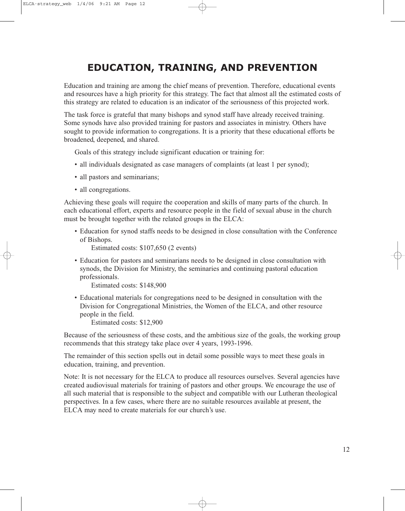## **EDUCATION, TRAINING, AND PREVENTION**

Education and training are among the chief means of prevention. Therefore, educational events and resources have a high priority for this strategy. The fact that almost all the estimated costs of this strategy are related to education is an indicator of the seriousness of this projected work.

The task force is grateful that many bishops and synod staff have already received training. Some synods have also provided training for pastors and associates in ministry. Others have sought to provide information to congregations. It is a priority that these educational efforts be broadened, deepened, and shared.

Goals of this strategy include significant education or training for:

- all individuals designated as case managers of complaints (at least 1 per synod);
- all pastors and seminarians;
- all congregations.

Achieving these goals will require the cooperation and skills of many parts of the church. In each educational effort, experts and resource people in the field of sexual abuse in the church must be brought together with the related groups in the ELCA:

• Education for synod staffs needs to be designed in close consultation with the Conference of Bishops.

Estimated costs: \$107,650 (2 events)

• Education for pastors and seminarians needs to be designed in close consultation with synods, the Division for Ministry, the seminaries and continuing pastoral education professionals.

Estimated costs: \$148,900

• Educational materials for congregations need to be designed in consultation with the Division for Congregational Ministries, the Women of the ELCA, and other resource people in the field.

Estimated costs: \$12,900

Because of the seriousness of these costs, and the ambitious size of the goals, the working group recommends that this strategy take place over 4 years, 1993-1996.

The remainder of this section spells out in detail some possible ways to meet these goals in education, training, and prevention.

Note: It is not necessary for the ELCA to produce all resources ourselves. Several agencies have created audiovisual materials for training of pastors and other groups. We encourage the use of all such material that is responsible to the subject and compatible with our Lutheran theological perspectives. In a few cases, where there are no suitable resources available at present, the ELCA may need to create materials for our church's use.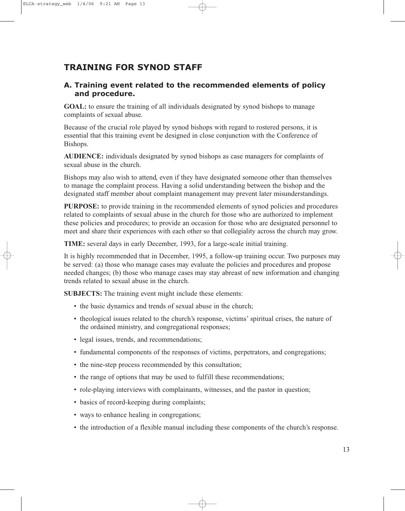## **TRAINING FOR SYNOD STAFF**

#### **A. Training event related to the recommended elements of policy and procedure.**

**GOAL:** to ensure the training of all individuals designated by synod bishops to manage complaints of sexual abuse.

Because of the crucial role played by synod bishops with regard to rostered persons, it is essential that this training event be designed in close conjunction with the Conference of Bishops.

**AUDIENCE:** individuals designated by synod bishops as case managers for complaints of sexual abuse in the church.

Bishops may also wish to attend, even if they have designated someone other than themselves to manage the complaint process. Having a solid understanding between the bishop and the designated staff member about complaint management may prevent later misunderstandings.

**PURPOSE:** to provide training in the recommended elements of synod policies and procedures related to complaints of sexual abuse in the church for those who are authorized to implement these policies and procedures; to provide an occasion for those who are designated personnel to meet and share their experiences with each other so that collegiality across the church may grow.

**TIME:** several days in early December, 1993, for a large-scale initial training.

It is highly recommended that in December, 1995, a follow-up training occur. Two purposes may be served: (a) those who manage cases may evaluate the policies and procedures and propose needed changes; (b) those who manage cases may stay abreast of new information and changing trends related to sexual abuse in the church.

**SUBJECTS:** The training event might include these elements:

- the basic dynamics and trends of sexual abuse in the church;
- theological issues related to the church's response, victims' spiritual crises, the nature of the ordained ministry, and congregational responses;
- legal issues, trends, and recommendations;
- fundamental components of the responses of victims, perpetrators, and congregations;
- the nine-step process recommended by this consultation;
- the range of options that may be used to fulfill these recommendations;
- role-playing interviews with complainants, witnesses, and the pastor in question;
- basics of record-keeping during complaints;
- ways to enhance healing in congregations;
- the introduction of a flexible manual including these components of the church's response.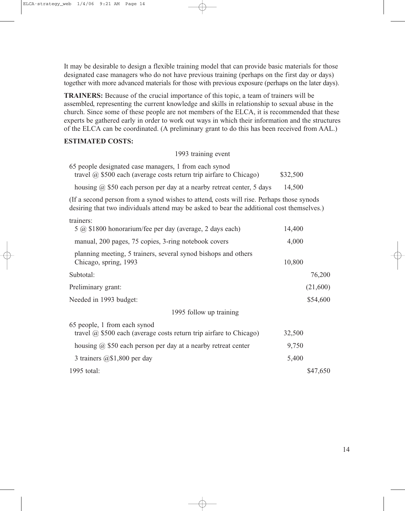It may be desirable to design a flexible training model that can provide basic materials for those designated case managers who do not have previous training (perhaps on the first day or days) together with more advanced materials for those with previous exposure (perhaps on the later days).

**TRAINERS:** Because of the crucial importance of this topic, a team of trainers will be assembled, representing the current knowledge and skills in relationship to sexual abuse in the church. Since some of these people are not members of the ELCA, it is recommended that these experts be gathered early in order to work out ways in which their information and the structures of the ELCA can be coordinated. (A preliminary grant to do this has been received from AAL.)

#### **ESTIMATED COSTS:**

1993 training event

| 65 people designated case managers, 1 from each synod                        |          |
|------------------------------------------------------------------------------|----------|
| travel $\omega$ \$500 each (average costs return trip airfare to Chicago)    | \$32,500 |
| housing $\omega$ \$50 each person per day at a nearby retreat center, 5 days | 14,500   |

(If a second person from a synod wishes to attend, costs will rise. Perhaps those synods desiring that two individuals attend may be asked to bear the additional cost themselves.)

| trainers:                                                                                                 |        |          |
|-----------------------------------------------------------------------------------------------------------|--------|----------|
| 5 @ \$1800 honorarium/fee per day (average, 2 days each)                                                  | 14,400 |          |
| manual, 200 pages, 75 copies, 3-ring notebook covers                                                      | 4,000  |          |
| planning meeting, 5 trainers, several synod bishops and others<br>Chicago, spring, 1993                   | 10,800 |          |
| Subtotal:                                                                                                 |        | 76,200   |
| Preliminary grant:                                                                                        |        | (21,600) |
| Needed in 1993 budget:                                                                                    |        | \$54,600 |
| 1995 follow up training                                                                                   |        |          |
| 65 people, 1 from each synod<br>travel $\omega$ \$500 each (average costs return trip airfare to Chicago) | 32,500 |          |
| housing $\omega$ \$50 each person per day at a nearby retreat center                                      | 9,750  |          |
| 3 trainers $(a)$ \$1,800 per day                                                                          | 5,400  |          |
| 1995 total:                                                                                               |        | \$47,650 |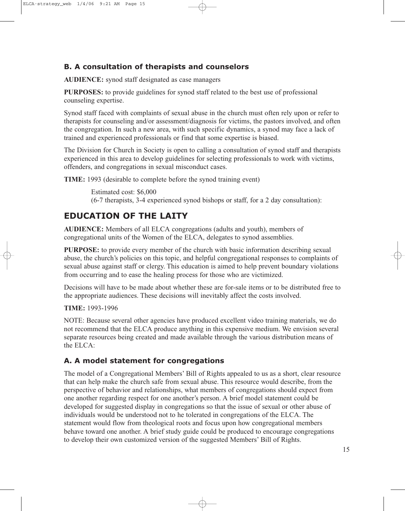### **B. A consultation of therapists and counselors**

**AUDIENCE:** synod staff designated as case managers

**PURPOSES:** to provide guidelines for synod staff related to the best use of professional counseling expertise.

Synod staff faced with complaints of sexual abuse in the church must often rely upon or refer to therapists for counseling and/or assessment/diagnosis for victims, the pastors involved, and often the congregation. In such a new area, with such specific dynamics, a synod may face a lack of trained and experienced professionals or find that some expertise is biased.

The Division for Church in Society is open to calling a consultation of synod staff and therapists experienced in this area to develop guidelines for selecting professionals to work with victims, offenders, and congregations in sexual misconduct cases.

**TIME:** 1993 (desirable to complete before the synod training event)

Estimated cost: \$6,000 (6-7 therapists, 3-4 experienced synod bishops or staff, for a 2 day consultation):

## **EDUCATION OF THE LAITY**

**AUDIENCE:** Members of all ELCA congregations (adults and youth), members of congregational units of the Women of the ELCA, delegates to synod assemblies.

**PURPOSE:** to provide every member of the church with basic information describing sexual abuse, the church's policies on this topic, and helpful congregational responses to complaints of sexual abuse against staff or clergy. This education is aimed to help prevent boundary violations from occurring and to ease the healing process for those who are victimized.

Decisions will have to be made about whether these are for-sale items or to be distributed free to the appropriate audiences. These decisions will inevitably affect the costs involved.

**TIME:** 1993-1996

NOTE: Because several other agencies have produced excellent video training materials, we do not recommend that the ELCA produce anything in this expensive medium. We envision several separate resources being created and made available through the various distribution means of the ELCA:

### **A. A model statement for congregations**

The model of a Congregational Members' Bill of Rights appealed to us as a short, clear resource that can help make the church safe from sexual abuse. This resource would describe, from the perspective of behavior and relationships, what members of congregations should expect from one another regarding respect for one another's person. A brief model statement could be developed for suggested display in congregations so that the issue of sexual or other abuse of individuals would be understood not to he tolerated in congregations of the ELCA. The statement would flow from theological roots and focus upon how congregational members behave toward one another. A brief study guide could be produced to encourage congregations to develop their own customized version of the suggested Members' Bill of Rights.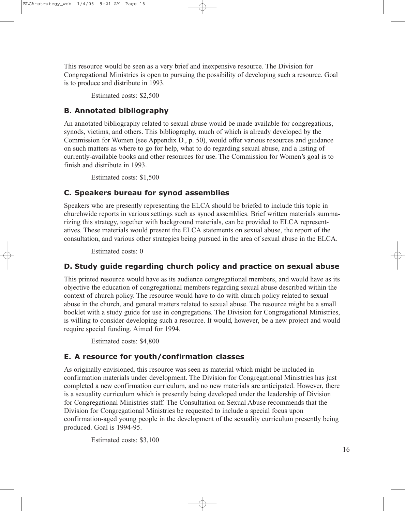This resource would be seen as a very brief and inexpensive resource. The Division for Congregational Ministries is open to pursuing the possibility of developing such a resource. Goal is to produce and distribute in 1993.

Estimated costs: \$2,500

### **B. Annotated bibliography**

An annotated bibliography related to sexual abuse would be made available for congregations, synods, victims, and others. This bibliography, much of which is already developed by the Commission for Women (see Appendix D., p. 50), would offer various resources and guidance on such matters as where to go for help, what to do regarding sexual abuse, and a listing of currently-available books and other resources for use. The Commission for Women's goal is to finish and distribute in 1993.

Estimated costs: \$1,500

### **C. Speakers bureau for synod assemblies**

Speakers who are presently representing the ELCA should be briefed to include this topic in churchwide reports in various settings such as synod assemblies. Brief written materials summarizing this strategy, together with background materials, can be provided to ELCA representatives. These materials would present the ELCA statements on sexual abuse, the report of the consultation, and various other strategies being pursued in the area of sexual abuse in the ELCA.

Estimated costs: 0

### **D. Study guide regarding church policy and practice on sexual abuse**

This printed resource would have as its audience congregational members, and would have as its objective the education of congregational members regarding sexual abuse described within the context of church policy. The resource would have to do with church policy related to sexual abuse in the church, and general matters related to sexual abuse. The resource might be a small booklet with a study guide for use in congregations. The Division for Congregational Ministries, is willing to consider developing such a resource. It would, however, be a new project and would require special funding. Aimed for 1994.

Estimated costs: \$4,800

### **E. A resource for youth/confirmation classes**

As originally envisioned, this resource was seen as material which might be included in confirmation materials under development. The Division for Congregational Ministries has just completed a new confirmation curriculum, and no new materials are anticipated. However, there is a sexuality curriculum which is presently being developed under the leadership of Division for Congregational Ministries staff. The Consultation on Sexual Abuse recommends that the Division for Congregational Ministries be requested to include a special focus upon confirmation-aged young people in the development of the sexuality curriculum presently being produced. Goal is 1994-95.

Estimated costs: \$3,100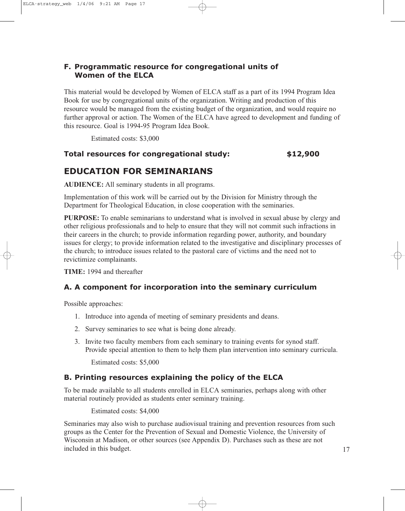### **F. Programmatic resource for congregational units of Women of the ELCA**

This material would be developed by Women of ELCA staff as a part of its 1994 Program Idea Book for use by congregational units of the organization. Writing and production of this resource would be managed from the existing budget of the organization, and would require no further approval or action. The Women of the ELCA have agreed to development and funding of this resource. Goal is 1994-95 Program Idea Book.

Estimated costs: \$3,000

### **Total resources for congregational study: \$12,900**

### **EDUCATION FOR SEMINARIANS**

**AUDIENCE:** All seminary students in all programs.

Implementation of this work will be carried out by the Division for Ministry through the Department for Theological Education, in close cooperation with the seminaries.

**PURPOSE:** To enable seminarians to understand what is involved in sexual abuse by clergy and other religious professionals and to help to ensure that they will not commit such infractions in their careers in the church; to provide information regarding power, authority, and boundary issues for clergy; to provide information related to the investigative and disciplinary processes of the church; to introduce issues related to the pastoral care of victims and the need not to revictimize complainants.

**TIME:** 1994 and thereafter

### **A. A component for incorporation into the seminary curriculum**

Possible approaches:

- 1. Introduce into agenda of meeting of seminary presidents and deans.
- 2. Survey seminaries to see what is being done already.
- 3. Invite two faculty members from each seminary to training events for synod staff. Provide special attention to them to help them plan intervention into seminary curricula.

Estimated costs: \$5,000

### **B. Printing resources explaining the policy of the ELCA**

To be made available to all students enrolled in ELCA seminaries, perhaps along with other material routinely provided as students enter seminary training.

Estimated costs: \$4,000

Seminaries may also wish to purchase audiovisual training and prevention resources from such groups as the Center for the Prevention of Sexual and Domestic Violence, the University of Wisconsin at Madison, or other sources (see Appendix D). Purchases such as these are not included in this budget.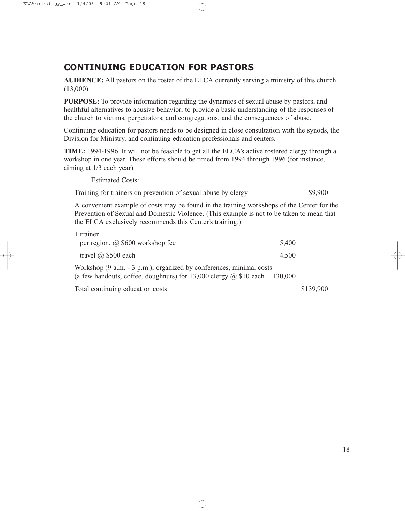## **CONTINUING EDUCATION FOR PASTORS**

**AUDIENCE:** All pastors on the roster of the ELCA currently serving a ministry of this church (13,000).

**PURPOSE:** To provide information regarding the dynamics of sexual abuse by pastors, and healthful alternatives to abusive behavior; to provide a basic understanding of the responses of the church to victims, perpetrators, and congregations, and the consequences of abuse.

Continuing education for pastors needs to be designed in close consultation with the synods, the Division for Ministry, and continuing education professionals and centers.

**TIME:** 1994-1996. It will not be feasible to get all the ELCA's active rostered clergy through a workshop in one year. These efforts should be timed from 1994 through 1996 (for instance, aiming at 1/3 each year).

Estimated Costs:

Training for trainers on prevention of sexual abuse by clergy: \$9,900

A convenient example of costs may be found in the training workshops of the Center for the Prevention of Sexual and Domestic Violence. (This example is not to be taken to mean that the ELCA exclusively recommends this Center's training.)

| 1 trainer                                                                                                                                                  |           |
|------------------------------------------------------------------------------------------------------------------------------------------------------------|-----------|
| per region, $\omega$ \$600 workshop fee<br>5,400                                                                                                           |           |
| travel $\omega$ \$500 each<br>4,500                                                                                                                        |           |
| Workshop $(9 a.m. - 3 p.m.)$ , organized by conferences, minimal costs<br>(a few handouts, coffee, doughnuts) for 13,000 clergy $\omega$ \$10 each 130,000 |           |
| Total continuing education costs:                                                                                                                          | \$139,900 |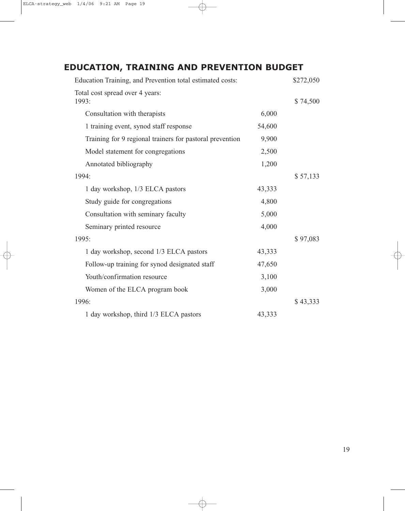## **EDUCATION, TRAINING AND PREVENTION BUDGET**

| Education Training, and Prevention total estimated costs: |        | \$272,050 |
|-----------------------------------------------------------|--------|-----------|
| Total cost spread over 4 years:<br>1993:                  |        | \$74,500  |
| Consultation with therapists                              | 6,000  |           |
| 1 training event, synod staff response                    | 54,600 |           |
| Training for 9 regional trainers for pastoral prevention  | 9,900  |           |
| Model statement for congregations                         | 2,500  |           |
| Annotated bibliography                                    | 1,200  |           |
| 1994:                                                     |        | \$57,133  |
| 1 day workshop, 1/3 ELCA pastors                          | 43,333 |           |
| Study guide for congregations                             | 4,800  |           |
| Consultation with seminary faculty                        | 5,000  |           |
| Seminary printed resource                                 | 4,000  |           |
| 1995:                                                     |        | \$97,083  |
| 1 day workshop, second 1/3 ELCA pastors                   | 43,333 |           |
| Follow-up training for synod designated staff             | 47,650 |           |
| Youth/confirmation resource                               | 3,100  |           |
| Women of the ELCA program book                            | 3,000  |           |
| 1996:                                                     |        | \$43,333  |
| 1 day workshop, third 1/3 ELCA pastors                    | 43,333 |           |
|                                                           |        |           |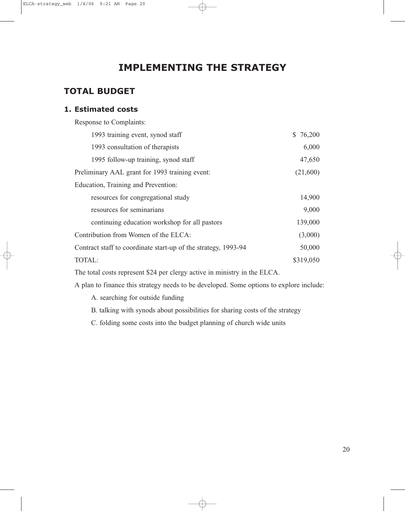## **IMPLEMENTING THE STRATEGY**

### **TOTAL BUDGET**

### **1. Estimated costs**

Response to Complaints:

| 1993 training event, synod staff                               | 76,200<br>S. |
|----------------------------------------------------------------|--------------|
| 1993 consultation of therapists                                | 6,000        |
| 1995 follow-up training, synod staff                           | 47,650       |
| Preliminary AAL grant for 1993 training event:                 | (21,600)     |
| Education, Training and Prevention:                            |              |
| resources for congregational study                             | 14,900       |
| resources for seminarians                                      | 9,000        |
| continuing education workshop for all pastors                  | 139,000      |
| Contribution from Women of the ELCA:                           | (3,000)      |
| Contract staff to coordinate start-up of the strategy, 1993-94 | 50,000       |
| TOTAL:                                                         | \$319,050    |

The total costs represent \$24 per clergy active in ministry in the ELCA.

A plan to finance this strategy needs to be developed. Some options to explore include:

A. searching for outside funding

- B. talking with synods about possibilities for sharing costs of the strategy
- C. folding some costs into the budget planning of church wide units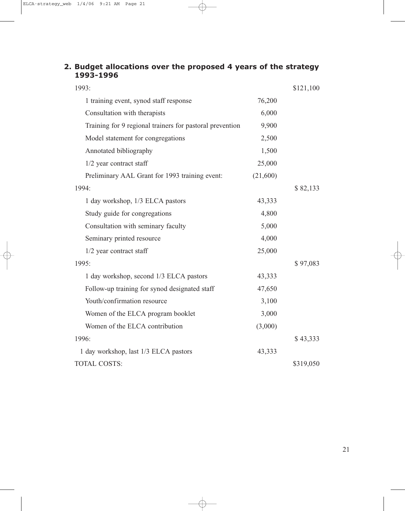| 1993-1996                                                |          |           |
|----------------------------------------------------------|----------|-----------|
| 1993:                                                    |          | \$121,100 |
| 1 training event, synod staff response                   | 76,200   |           |
| Consultation with therapists                             | 6,000    |           |
| Training for 9 regional trainers for pastoral prevention | 9,900    |           |
| Model statement for congregations                        | 2,500    |           |
| Annotated bibliography                                   | 1,500    |           |
| 1/2 year contract staff                                  | 25,000   |           |
| Preliminary AAL Grant for 1993 training event:           | (21,600) |           |
| 1994:                                                    |          | \$82,133  |
| 1 day workshop, 1/3 ELCA pastors                         | 43,333   |           |
| Study guide for congregations                            | 4,800    |           |
| Consultation with seminary faculty                       | 5,000    |           |
| Seminary printed resource                                | 4,000    |           |
| 1/2 year contract staff                                  | 25,000   |           |
| 1995:                                                    |          | \$97,083  |
| 1 day workshop, second 1/3 ELCA pastors                  | 43,333   |           |
| Follow-up training for synod designated staff            | 47,650   |           |
| Youth/confirmation resource                              | 3,100    |           |
| Women of the ELCA program booklet                        | 3,000    |           |
| Women of the ELCA contribution                           | (3,000)  |           |
| 1996:                                                    |          | \$43,333  |
| 1 day workshop, last 1/3 ELCA pastors                    | 43,333   |           |
| <b>TOTAL COSTS:</b>                                      |          | \$319,050 |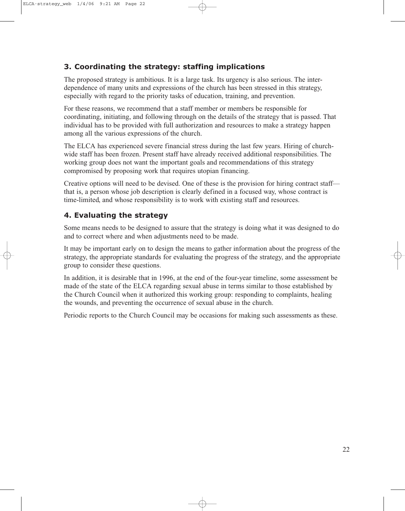### **3. Coordinating the strategy: staffing implications**

The proposed strategy is ambitious. It is a large task. Its urgency is also serious. The interdependence of many units and expressions of the church has been stressed in this strategy, especially with regard to the priority tasks of education, training, and prevention.

For these reasons, we recommend that a staff member or members be responsible for coordinating, initiating, and following through on the details of the strategy that is passed. That individual has to be provided with full authorization and resources to make a strategy happen among all the various expressions of the church.

The ELCA has experienced severe financial stress during the last few years. Hiring of churchwide staff has been frozen. Present staff have already received additional responsibilities. The working group does not want the important goals and recommendations of this strategy compromised by proposing work that requires utopian financing.

Creative options will need to be devised. One of these is the provision for hiring contract staff that is, a person whose job description is clearly defined in a focused way, whose contract is time-limited, and whose responsibility is to work with existing staff and resources.

### **4. Evaluating the strategy**

Some means needs to be designed to assure that the strategy is doing what it was designed to do and to correct where and when adjustments need to be made.

It may be important early on to design the means to gather information about the progress of the strategy, the appropriate standards for evaluating the progress of the strategy, and the appropriate group to consider these questions.

In addition, it is desirable that in 1996, at the end of the four-year timeline, some assessment be made of the state of the ELCA regarding sexual abuse in terms similar to those established by the Church Council when it authorized this working group: responding to complaints, healing the wounds, and preventing the occurrence of sexual abuse in the church.

Periodic reports to the Church Council may be occasions for making such assessments as these.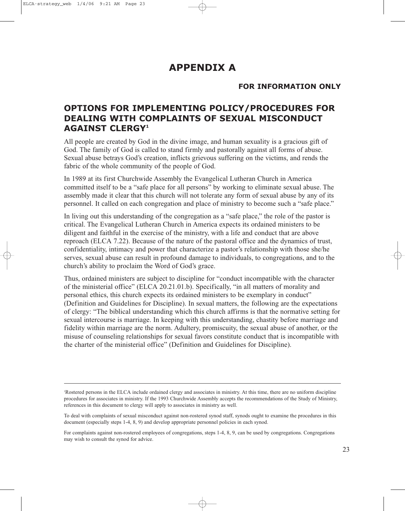## **APPENDIX A**

#### **FOR INFORMATION ONLY**

### **OPTIONS FOR IMPLEMENTING POLICY/PROCEDURES FOR DEALING WITH COMPLAINTS OF SEXUAL MISCONDUCT AGAINST CLERGY1**

All people are created by God in the divine image, and human sexuality is a gracious gift of God. The family of God is called to stand firmly and pastorally against all forms of abuse. Sexual abuse betrays God's creation, inflicts grievous suffering on the victims, and rends the fabric of the whole community of the people of God.

In 1989 at its first Churchwide Assembly the Evangelical Lutheran Church in America committed itself to be a "safe place for all persons" by working to eliminate sexual abuse. The assembly made it clear that this church will not tolerate any form of sexual abuse by any of its personnel. It called on each congregation and place of ministry to become such a "safe place."

In living out this understanding of the congregation as a "safe place," the role of the pastor is critical. The Evangelical Lutheran Church in America expects its ordained ministers to be diligent and faithful in the exercise of the ministry, with a life and conduct that are above reproach (ELCA 7.22). Because of the nature of the pastoral office and the dynamics of trust, confidentiality, intimacy and power that characterize a pastor's relationship with those she/he serves, sexual abuse can result in profound damage to individuals, to congregations, and to the church's ability to proclaim the Word of God's grace.

Thus, ordained ministers are subject to discipline for "conduct incompatible with the character of the ministerial office" (ELCA 20.21.01.b). Specifically, "in all matters of morality and personal ethics, this church expects its ordained ministers to be exemplary in conduct" (Definition and Guidelines for Discipline). In sexual matters, the following are the expectations of clergy: "The biblical understanding which this church affirms is that the normative setting for sexual intercourse is marriage. In keeping with this understanding, chastity before marriage and fidelity within marriage are the norm. Adultery, promiscuity, the sexual abuse of another, or the misuse of counseling relationships for sexual favors constitute conduct that is incompatible with the charter of the ministerial office" (Definition and Guidelines for Discipline).

Rostered persons in the ELCA include ordained clergy and associates in ministry. At this time, there are no uniform discipline procedures for associates in ministry. If the 1993 Churchwide Assembly accepts the recommendations of the Study of Ministry, references in this document to clergy will apply to associates in ministry as well.

To deal with complaints of sexual misconduct against non-rostered synod staff, synods ought to examine the procedures in this document (especially steps 1-4, 8, 9) and develop appropriate personnel policies in each synod.

For complaints against non-rostered employees of congregations, steps 1-4, 8, 9, can be used by congregations. Congregations may wish to consult the synod for advice.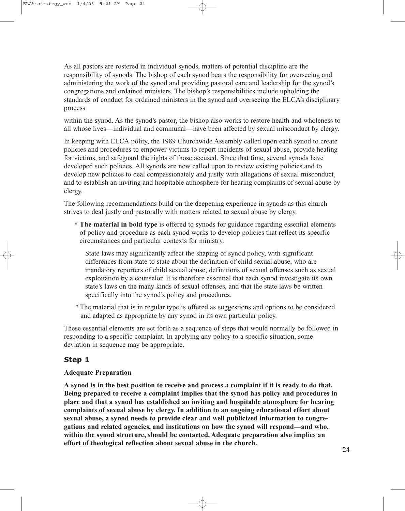As all pastors are rostered in individual synods, matters of potential discipline are the responsibility of synods. The bishop of each synod bears the responsibility for overseeing and administering the work of the synod and providing pastoral care and leadership for the synod's congregations and ordained ministers. The bishop's responsibilities include upholding the standards of conduct for ordained ministers in the synod and overseeing the ELCA's disciplinary process

within the synod. As the synod's pastor, the bishop also works to restore health and wholeness to all whose lives—individual and communal—have been affected by sexual misconduct by clergy.

In keeping with ELCA polity, the 1989 Churchwide Assembly called upon each synod to create policies and procedures to empower victims to report incidents of sexual abuse, provide healing for victims, and safeguard the rights of those accused. Since that time, several synods have developed such policies. All synods are now called upon to review existing policies and to develop new policies to deal compassionately and justly with allegations of sexual misconduct, and to establish an inviting and hospitable atmosphere for hearing complaints of sexual abuse by clergy.

The following recommendations build on the deepening experience in synods as this church strives to deal justly and pastorally with matters related to sexual abuse by clergy.

**\* The material in bold type** is offered to synods for guidance regarding essential elements of policy and procedure as each synod works to develop policies that reflect its specific circumstances and particular contexts for ministry.

State laws may significantly affect the shaping of synod policy, with significant differences from state to state about the definition of child sexual abuse, who are mandatory reporters of child sexual abuse, definitions of sexual offenses such as sexual exploitation by a counselor. It is therefore essential that each synod investigate its own state's laws on the many kinds of sexual offenses, and that the state laws be written specifically into the synod's policy and procedures.

\* The material that is in regular type is offered as suggestions and options to be considered and adapted as appropriate by any synod in its own particular policy.

These essential elements are set forth as a sequence of steps that would normally be followed in responding to a specific complaint. In applying any policy to a specific situation, some deviation in sequence may be appropriate.

#### **Step 1**

#### **Adequate Preparation**

**A synod is in the best position to receive and process a complaint if it is ready to do that. Being prepared to receive a complaint implies that the synod has policy and procedures in place and that a synod has established an inviting and hospitable atmosphere for hearing complaints of sexual abuse by clergy. In addition to an ongoing educational effort about sexual abuse, a synod needs to provide clear and well publicized information to congregations and related agencies, and institutions on how the synod will respond—and who, within the synod structure, should be contacted. Adequate preparation also implies an effort of theological reflection about sexual abuse in the church.**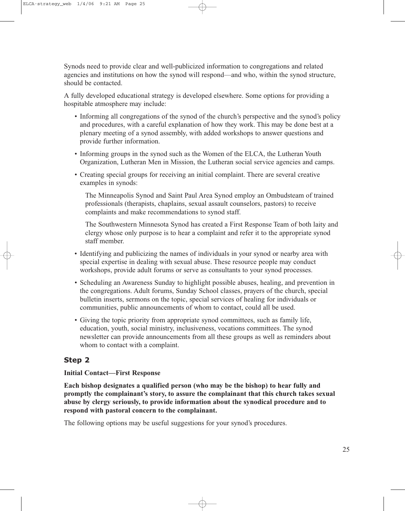Synods need to provide clear and well-publicized information to congregations and related agencies and institutions on how the synod will respond—and who, within the synod structure, should be contacted.

A fully developed educational strategy is developed elsewhere. Some options for providing a hospitable atmosphere may include:

- Informing all congregations of the synod of the church's perspective and the synod's policy and procedures, with a careful explanation of how they work. This may be done best at a plenary meeting of a synod assembly, with added workshops to answer questions and provide further information.
- Informing groups in the synod such as the Women of the ELCA, the Lutheran Youth Organization, Lutheran Men in Mission, the Lutheran social service agencies and camps.
- Creating special groups for receiving an initial complaint. There are several creative examples in synods:

The Minneapolis Synod and Saint Paul Area Synod employ an Ombudsteam of trained professionals (therapists, chaplains, sexual assault counselors, pastors) to receive complaints and make recommendations to synod staff.

The Southwestern Minnesota Synod has created a First Response Team of both laity and clergy whose only purpose is to hear a complaint and refer it to the appropriate synod staff member.

- Identifying and publicizing the names of individuals in your synod or nearby area with special expertise in dealing with sexual abuse. These resource people may conduct workshops, provide adult forums or serve as consultants to your synod processes.
- Scheduling an Awareness Sunday to highlight possible abuses, healing, and prevention in the congregations. Adult forums, Sunday School classes, prayers of the church, special bulletin inserts, sermons on the topic, special services of healing for individuals or communities, public announcements of whom to contact, could all be used.
- Giving the topic priority from appropriate synod committees, such as family life, education, youth, social ministry, inclusiveness, vocations committees. The synod newsletter can provide announcements from all these groups as well as reminders about whom to contact with a complaint.

### **Step 2**

#### **Initial Contact—First Response**

**Each bishop designates a qualified person (who may be the bishop) to hear fully and promptly the complainant's story, to assure the complainant that this church takes sexual abuse by clergy seriously, to provide information about the synodical procedure and to respond with pastoral concern to the complainant.**

The following options may be useful suggestions for your synod's procedures.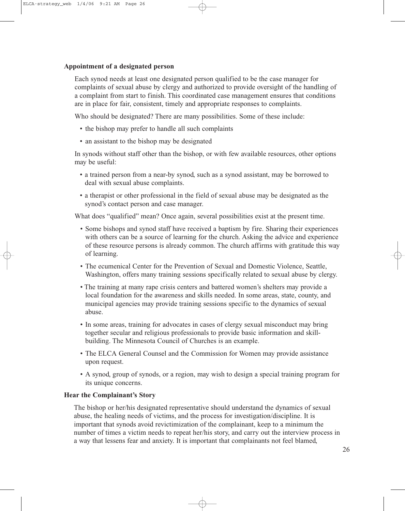#### **Appointment of a designated person**

Each synod needs at least one designated person qualified to be the case manager for complaints of sexual abuse by clergy and authorized to provide oversight of the handling of a complaint from start to finish. This coordinated case management ensures that conditions are in place for fair, consistent, timely and appropriate responses to complaints.

Who should be designated? There are many possibilities. Some of these include:

- the bishop may prefer to handle all such complaints
- an assistant to the bishop may be designated

In synods without staff other than the bishop, or with few available resources, other options may be useful:

- a trained person from a near-by synod, such as a synod assistant, may be borrowed to deal with sexual abuse complaints.
- a therapist or other professional in the field of sexual abuse may be designated as the synod's contact person and case manager.

What does "qualified" mean? Once again, several possibilities exist at the present time.

- Some bishops and synod staff have received a baptism by fire. Sharing their experiences with others can be a source of learning for the church. Asking the advice and experience of these resource persons is already common. The church affirms with gratitude this way of learning.
- The ecumenical Center for the Prevention of Sexual and Domestic Violence, Seattle, Washington, offers many training sessions specifically related to sexual abuse by clergy.
- The training at many rape crisis centers and battered women's shelters may provide a local foundation for the awareness and skills needed. In some areas, state, county, and municipal agencies may provide training sessions specific to the dynamics of sexual abuse.
- In some areas, training for advocates in cases of clergy sexual misconduct may bring together secular and religious professionals to provide basic information and skillbuilding. The Minnesota Council of Churches is an example.
- The ELCA General Counsel and the Commission for Women may provide assistance upon request.
- A synod, group of synods, or a region, may wish to design a special training program for its unique concerns.

#### **Hear the Complainant's Story**

The bishop or her/his designated representative should understand the dynamics of sexual abuse, the healing needs of victims, and the process for investigation/discipline. It is important that synods avoid revictimization of the complainant, keep to a minimum the number of times a victim needs to repeat her/his story, and carry out the interview process in a way that lessens fear and anxiety. It is important that complainants not feel blamed,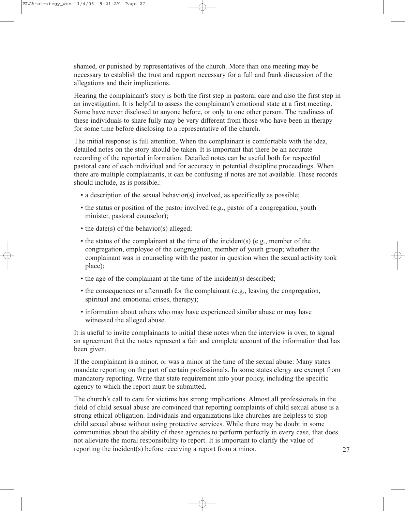shamed, or punished by representatives of the church. More than one meeting may be necessary to establish the trust and rapport necessary for a full and frank discussion of the allegations and their implications.

Hearing the complainant's story is both the first step in pastoral care and also the first step in an investigation. It is helpful to assess the complainant's emotional state at a first meeting. Some have never disclosed to anyone before, or only to one other person. The readiness of these individuals to share fully may be very different from those who have been in therapy for some time before disclosing to a representative of the church.

The initial response is full attention. When the complainant is comfortable with the idea, detailed notes on the story should be taken. It is important that there be an accurate recording of the reported information. Detailed notes can be useful both for respectful pastoral care of each individual and for accuracy in potential discipline proceedings. When there are multiple complainants, it can be confusing if notes are not available. These records should include, as is possible,:

- a description of the sexual behavior(s) involved, as specifically as possible;
- the status or position of the pastor involved (e.g., pastor of a congregation, youth minister, pastoral counselor);
- the date(s) of the behavior(s) alleged;
- the status of the complainant at the time of the incident(s) (e.g., member of the congregation, employee of the congregation, member of youth group; whether the complainant was in counseling with the pastor in question when the sexual activity took place);
- the age of the complainant at the time of the incident(s) described;
- the consequences or aftermath for the complainant (e.g., leaving the congregation, spiritual and emotional crises, therapy);
- information about others who may have experienced similar abuse or may have witnessed the alleged abuse.

It is useful to invite complainants to initial these notes when the interview is over, to signal an agreement that the notes represent a fair and complete account of the information that has been given.

If the complainant is a minor, or was a minor at the time of the sexual abuse: Many states mandate reporting on the part of certain professionals. In some states clergy are exempt from mandatory reporting. Write that state requirement into your policy, including the specific agency to which the report must be submitted.

The church's call to care for victims has strong implications. Almost all professionals in the field of child sexual abuse are convinced that reporting complaints of child sexual abuse is a strong ethical obligation. Individuals and organizations like churches are helpless to stop child sexual abuse without using protective services. While there may be doubt in some communities about the ability of these agencies to perform perfectly in every case, that does not alleviate the moral responsibility to report. It is important to clarify the value of reporting the incident(s) before receiving a report from a minor.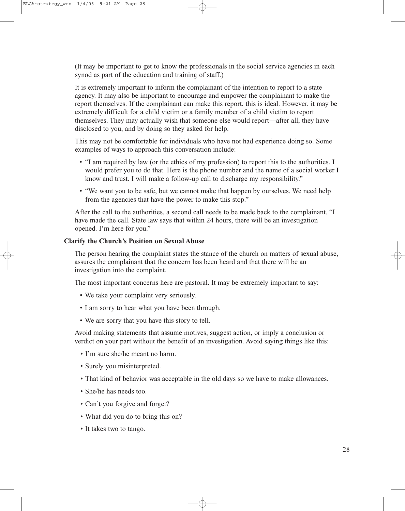(It may be important to get to know the professionals in the social service agencies in each synod as part of the education and training of staff.)

It is extremely important to inform the complainant of the intention to report to a state agency. It may also be important to encourage and empower the complainant to make the report themselves. If the complainant can make this report, this is ideal. However, it may be extremely difficult for a child victim or a family member of a child victim to report themselves. They may actually wish that someone else would report—after all, they have disclosed to you, and by doing so they asked for help.

This may not be comfortable for individuals who have not had experience doing so. Some examples of ways to approach this conversation include:

- "I am required by law (or the ethics of my profession) to report this to the authorities. I would prefer you to do that. Here is the phone number and the name of a social worker I know and trust. I will make a follow-up call to discharge my responsibility."
- "We want you to be safe, but we cannot make that happen by ourselves. We need help from the agencies that have the power to make this stop."

After the call to the authorities, a second call needs to be made back to the complainant. "I have made the call. State law says that within 24 hours, there will be an investigation opened. I'm here for you."

#### **Clarify the Church's Position on Sexual Abuse**

The person hearing the complaint states the stance of the church on matters of sexual abuse, assures the complainant that the concern has been heard and that there will be an investigation into the complaint.

The most important concerns here are pastoral. It may be extremely important to say:

- We take your complaint very seriously.
- I am sorry to hear what you have been through.
- We are sorry that you have this story to tell.

Avoid making statements that assume motives, suggest action, or imply a conclusion or verdict on your part without the benefit of an investigation. Avoid saying things like this:

- I'm sure she/he meant no harm.
- Surely you misinterpreted.
- That kind of behavior was acceptable in the old days so we have to make allowances.
- She/he has needs too.
- Can't you forgive and forget?
- What did you do to bring this on?
- It takes two to tango.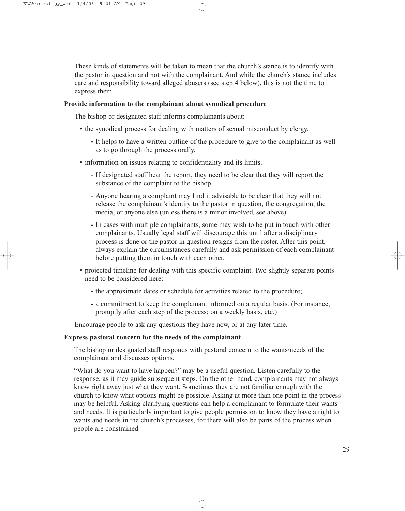These kinds of statements will be taken to mean that the church's stance is to identify with the pastor in question and not with the complainant. And while the church's stance includes care and responsibility toward alleged abusers (see step 4 below), this is not the time to express them.

#### **Provide information to the complainant about synodical procedure**

The bishop or designated staff informs complainants about:

- the synodical process for dealing with matters of sexual misconduct by clergy.
	- **-** It helps to have a written outline of the procedure to give to the complainant as well as to go through the process orally.
- information on issues relating to confidentiality and its limits.
	- **-** If designated staff hear the report, they need to be clear that they will report the substance of the complaint to the bishop.
	- **-** Anyone hearing a complaint may find it advisable to be clear that they will not release the complainant's identity to the pastor in question, the congregation, the media, or anyone else (unless there is a minor involved, see above).
	- **-** In cases with multiple complainants, some may wish to be put in touch with other complainants. Usually legal staff will discourage this until after a disciplinary process is done or the pastor in question resigns from the roster. After this point, always explain the circumstances carefully and ask permission of each complainant before putting them in touch with each other.
- projected timeline for dealing with this specific complaint. Two slightly separate points need to be considered here:
	- **-** the approximate dates or schedule for activities related to the procedure;
	- **-** a commitment to keep the complainant informed on a regular basis. (For instance, promptly after each step of the process; on a weekly basis, etc.)

Encourage people to ask any questions they have now, or at any later time.

#### **Express pastoral concern for the needs of the complainant**

The bishop or designated staff responds with pastoral concern to the wants/needs of the complainant and discusses options.

"What do you want to have happen?" may be a useful question. Listen carefully to the response, as it may guide subsequent steps. On the other hand, complainants may not always know right away just what they want. Sometimes they are not familiar enough with the church to know what options might be possible. Asking at more than one point in the process may be helpful. Asking clarifying questions can help a complainant to formulate their wants and needs. It is particularly important to give people permission to know they have a right to wants and needs in the church's processes, for there will also be parts of the process when people are constrained.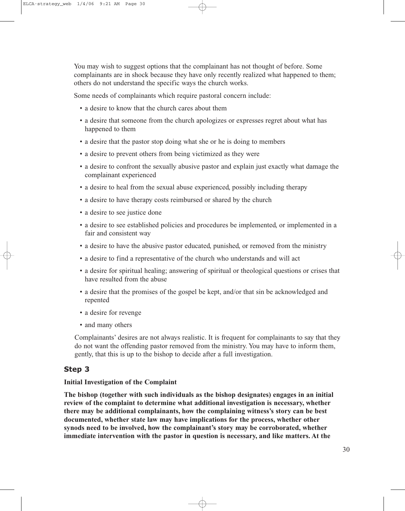You may wish to suggest options that the complainant has not thought of before. Some complainants are in shock because they have only recently realized what happened to them; others do not understand the specific ways the church works.

Some needs of complainants which require pastoral concern include:

- a desire to know that the church cares about them
- a desire that someone from the church apologizes or expresses regret about what has happened to them
- a desire that the pastor stop doing what she or he is doing to members
- a desire to prevent others from being victimized as they were
- a desire to confront the sexually abusive pastor and explain just exactly what damage the complainant experienced
- a desire to heal from the sexual abuse experienced, possibly including therapy
- a desire to have therapy costs reimbursed or shared by the church
- a desire to see justice done
- a desire to see established policies and procedures be implemented, or implemented in a fair and consistent way
- a desire to have the abusive pastor educated, punished, or removed from the ministry
- a desire to find a representative of the church who understands and will act
- a desire for spiritual healing; answering of spiritual or theological questions or crises that have resulted from the abuse
- a desire that the promises of the gospel be kept, and/or that sin be acknowledged and repented
- a desire for revenge
- and many others

Complainants' desires are not always realistic. It is frequent for complainants to say that they do not want the offending pastor removed from the ministry. You may have to inform them, gently, that this is up to the bishop to decide after a full investigation.

#### **Step 3**

#### **Initial Investigation of the Complaint**

**The bishop (together with such individuals as the bishop designates) engages in an initial review of the complaint to determine what additional investigation is necessary, whether there may be additional complainants, how the complaining witness's story can be best documented, whether state law may have implications for the process, whether other synods need to be involved, how the complainant's story may be corroborated, whether immediate intervention with the pastor in question is necessary, and like matters. At the**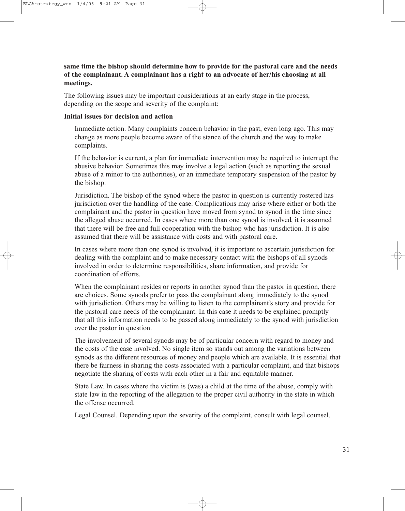#### **same time the bishop should determine how to provide for the pastoral care and the needs of the complainant. A complainant has a right to an advocate of her/his choosing at all meetings.**

The following issues may be important considerations at an early stage in the process, depending on the scope and severity of the complaint:

#### **Initial issues for decision and action**

Immediate action. Many complaints concern behavior in the past, even long ago. This may change as more people become aware of the stance of the church and the way to make complaints.

If the behavior is current, a plan for immediate intervention may be required to interrupt the abusive behavior. Sometimes this may involve a legal action (such as reporting the sexual abuse of a minor to the authorities), or an immediate temporary suspension of the pastor by the bishop.

Jurisdiction. The bishop of the synod where the pastor in question is currently rostered has jurisdiction over the handling of the case. Complications may arise where either or both the complainant and the pastor in question have moved from synod to synod in the time since the alleged abuse occurred. In cases where more than one synod is involved, it is assumed that there will be free and full cooperation with the bishop who has jurisdiction. It is also assumed that there will be assistance with costs and with pastoral care.

In cases where more than one synod is involved, it is important to ascertain jurisdiction for dealing with the complaint and to make necessary contact with the bishops of all synods involved in order to determine responsibilities, share information, and provide for coordination of efforts.

When the complainant resides or reports in another synod than the pastor in question, there are choices. Some synods prefer to pass the complainant along immediately to the synod with jurisdiction. Others may be willing to listen to the complainant's story and provide for the pastoral care needs of the complainant. In this case it needs to be explained promptly that all this information needs to be passed along immediately to the synod with jurisdiction over the pastor in question.

The involvement of several synods may be of particular concern with regard to money and the costs of the case involved. No single item so stands out among the variations between synods as the different resources of money and people which are available. It is essential that there be fairness in sharing the costs associated with a particular complaint, and that bishops negotiate the sharing of costs with each other in a fair and equitable manner.

State Law. In cases where the victim is (was) a child at the time of the abuse, comply with state law in the reporting of the allegation to the proper civil authority in the state in which the offense occurred.

Legal Counsel. Depending upon the severity of the complaint, consult with legal counsel.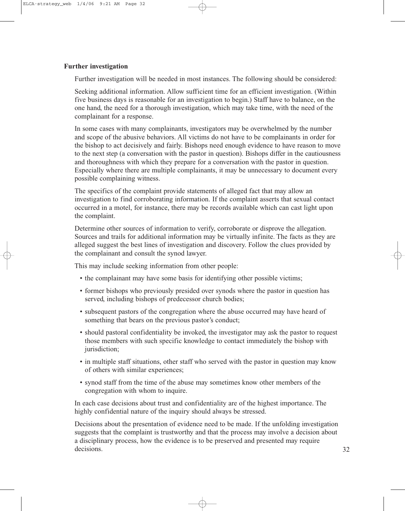#### **Further investigation**

Further investigation will be needed in most instances. The following should be considered:

Seeking additional information. Allow sufficient time for an efficient investigation. (Within five business days is reasonable for an investigation to begin.) Staff have to balance, on the one hand, the need for a thorough investigation, which may take time, with the need of the complainant for a response.

In some cases with many complainants, investigators may be overwhelmed by the number and scope of the abusive behaviors. All victims do not have to be complainants in order for the bishop to act decisively and fairly. Bishops need enough evidence to have reason to move to the next step (a conversation with the pastor in question). Bishops differ in the cautiousness and thoroughness with which they prepare for a conversation with the pastor in question. Especially where there are multiple complainants, it may be unnecessary to document every possible complaining witness.

The specifics of the complaint provide statements of alleged fact that may allow an investigation to find corroborating information. If the complaint asserts that sexual contact occurred in a motel, for instance, there may be records available which can cast light upon the complaint.

Determine other sources of information to verify, corroborate or disprove the allegation. Sources and trails for additional information may be virtually infinite. The facts as they are alleged suggest the best lines of investigation and discovery. Follow the clues provided by the complainant and consult the synod lawyer.

This may include seeking information from other people:

- the complainant may have some basis for identifying other possible victims;
- former bishops who previously presided over synods where the pastor in question has served, including bishops of predecessor church bodies;
- subsequent pastors of the congregation where the abuse occurred may have heard of something that bears on the previous pastor's conduct;
- should pastoral confidentiality be invoked, the investigator may ask the pastor to request those members with such specific knowledge to contact immediately the bishop with jurisdiction;
- in multiple staff situations, other staff who served with the pastor in question may know of others with similar experiences;
- synod staff from the time of the abuse may sometimes know other members of the congregation with whom to inquire.

In each case decisions about trust and confidentiality are of the highest importance. The highly confidential nature of the inquiry should always be stressed.

Decisions about the presentation of evidence need to be made. If the unfolding investigation suggests that the complaint is trustworthy and that the process may involve a decision about a disciplinary process, how the evidence is to be preserved and presented may require decisions.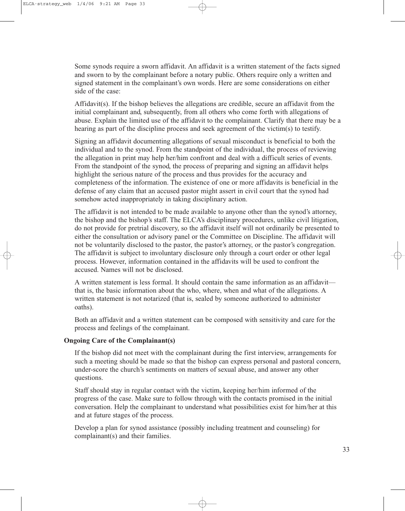Some synods require a sworn affidavit. An affidavit is a written statement of the facts signed and sworn to by the complainant before a notary public. Others require only a written and signed statement in the complainant's own words. Here are some considerations on either side of the case:

Affidavit(s). If the bishop believes the allegations are credible, secure an affidavit from the initial complainant and, subsequently, from all others who come forth with allegations of abuse. Explain the limited use of the affidavit to the complainant. Clarify that there may be a hearing as part of the discipline process and seek agreement of the victim(s) to testify.

Signing an affidavit documenting allegations of sexual misconduct is beneficial to both the individual and to the synod. From the standpoint of the individual, the process of reviewing the allegation in print may help her/him confront and deal with a difficult series of events. From the standpoint of the synod, the process of preparing and signing an affidavit helps highlight the serious nature of the process and thus provides for the accuracy and completeness of the information. The existence of one or more affidavits is beneficial in the defense of any claim that an accused pastor might assert in civil court that the synod had somehow acted inappropriately in taking disciplinary action.

The affidavit is not intended to be made available to anyone other than the synod's attorney, the bishop and the bishop's staff. The ELCA's disciplinary procedures, unlike civil litigation, do not provide for pretrial discovery, so the affidavit itself will not ordinarily be presented to either the consultation or advisory panel or the Committee on Discipline. The affidavit will not be voluntarily disclosed to the pastor, the pastor's attorney, or the pastor's congregation. The affidavit is subject to involuntary disclosure only through a court order or other legal process. However, information contained in the affidavits will be used to confront the accused. Names will not be disclosed.

A written statement is less formal. It should contain the same information as an affidavit that is, the basic information about the who, where, when and what of the allegations. A written statement is not notarized (that is, sealed by someone authorized to administer oaths).

Both an affidavit and a written statement can be composed with sensitivity and care for the process and feelings of the complainant.

#### **Ongoing Care of the Complainant(s)**

If the bishop did not meet with the complainant during the first interview, arrangements for such a meeting should be made so that the bishop can express personal and pastoral concern, under-score the church's sentiments on matters of sexual abuse, and answer any other questions.

Staff should stay in regular contact with the victim, keeping her/him informed of the progress of the case. Make sure to follow through with the contacts promised in the initial conversation. Help the complainant to understand what possibilities exist for him/her at this and at future stages of the process.

Develop a plan for synod assistance (possibly including treatment and counseling) for complainant(s) and their families.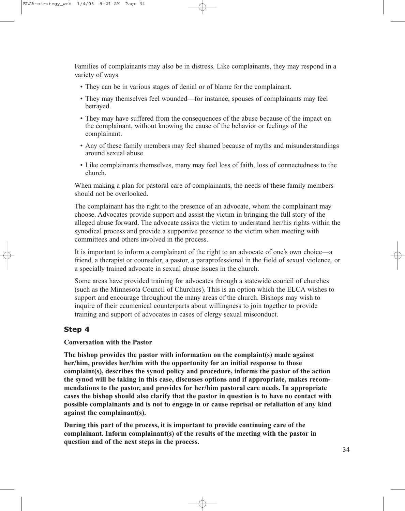Families of complainants may also be in distress. Like complainants, they may respond in a variety of ways.

- They can be in various stages of denial or of blame for the complainant.
- They may themselves feel wounded—for instance, spouses of complainants may feel betrayed.
- They may have suffered from the consequences of the abuse because of the impact on the complainant, without knowing the cause of the behavior or feelings of the complainant.
- Any of these family members may feel shamed because of myths and misunderstandings around sexual abuse.
- Like complainants themselves, many may feel loss of faith, loss of connectedness to the church.

When making a plan for pastoral care of complainants, the needs of these family members should not be overlooked.

The complainant has the right to the presence of an advocate, whom the complainant may choose. Advocates provide support and assist the victim in bringing the full story of the alleged abuse forward. The advocate assists the victim to understand her/his rights within the synodical process and provide a supportive presence to the victim when meeting with committees and others involved in the process.

It is important to inform a complainant of the right to an advocate of one's own choice—a friend, a therapist or counselor, a pastor, a paraprofessional in the field of sexual violence, or a specially trained advocate in sexual abuse issues in the church.

Some areas have provided training for advocates through a statewide council of churches (such as the Minnesota Council of Churches). This is an option which the ELCA wishes to support and encourage throughout the many areas of the church. Bishops may wish to inquire of their ecumenical counterparts about willingness to join together to provide training and support of advocates in cases of clergy sexual misconduct.

#### **Step 4**

#### **Conversation with the Pastor**

**The bishop provides the pastor with information on the complaint(s) made against her/him, provides her/him with the opportunity for an initial response to those complaint(s), describes the synod policy and procedure, informs the pastor of the action the synod will be taking in this case, discusses options and if appropriate, makes recommendations to the pastor, and provides for her/him pastoral care needs. In appropriate cases the bishop should also clarify that the pastor in question is to have no contact with possible complainants and is not to engage in or cause reprisal or retaliation of any kind against the complainant(s).**

**During this part of the process, it is important to provide continuing care of the complainant. Inform complainant(s) of the results of the meeting with the pastor in question and of the next steps in the process.**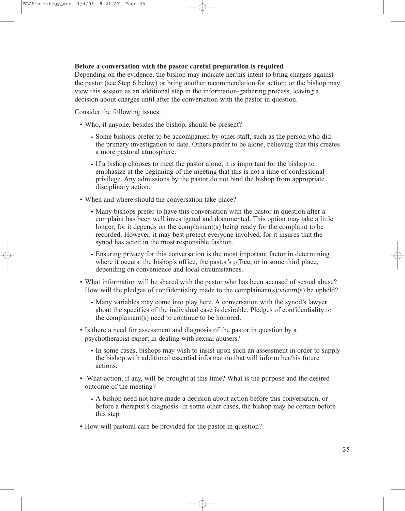#### **Before a conversation with the pastor careful preparation is required**

Depending on the evidence, the bishop may indicate her/his intent to bring charges against the pastor (see Step 6 below) or bring another recommendation for action; or the bishop may view this session as an additional step in the information-gathering process, leaving a decision about charges until after the conversation with the pastor in question.

Consider the following issues:

- Who, if anyone, besides the bishop, should be present?
	- **-** Some bishops prefer to be accompanied by other staff, such as the person who did the primary investigation to date. Others prefer to be alone, believing that this creates a more pastoral atmosphere.
	- **-** If a bishop chooses to meet the pastor alone, it is important for the bishop to emphasize at the beginning of the meeting that this is not a time of confessional privilege. Any admissions by the pastor do not bind the bishop from appropriate disciplinary action.
- When and where should the conversation take place?
	- **-** Many bishops prefer to have this conversation with the pastor in question after a complaint has been well investigated and documented. This option may take a little longer, for it depends on the complainant(s) being ready for the complaint to be recorded. However, it may best protect everyone involved, for it insures that the synod has acted in the most responsible fashion.
	- **-** Ensuring privacy for this conversation is the most important factor in determining where it occurs: the bishop's office, the pastor's office, or in some third place, depending on convenience and local circumstances.
- What information will be shared with the pastor who has been accused of sexual abuse? How will the pledges of confidentiality made to the complainant(s)/victim(s) be upheld?
	- **-** Many variables may come into play here. A conversation with the synod's lawyer about the specifics of the individual case is desirable. Pledges of confidentiality to the complainant(s) need to continue to be honored.
- Is there a need for assessment and diagnosis of the pastor in question by a psychotherapist expert in dealing with sexual abusers?
	- **-** In some cases, bishops may wish to insist upon such an assessment in order to supply the bishop with additional essential information that will inform her/his future actions.
- What action, if any, will be brought at this time? What is the purpose and the desired outcome of the meeting?
	- **-** A bishop need not have made a decision about action before this conversation, or before a therapist's diagnosis. In some other cases, the bishop may be certain before this step.
- How will pastoral care be provided for the pastor in question?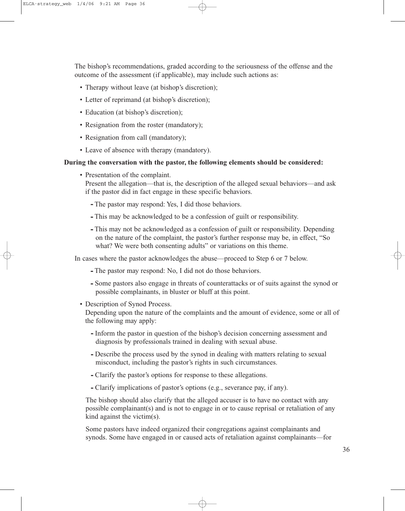The bishop's recommendations, graded according to the seriousness of the offense and the outcome of the assessment (if applicable), may include such actions as:

- Therapy without leave (at bishop's discretion);
- Letter of reprimand (at bishop's discretion);
- Education (at bishop's discretion);
- Resignation from the roster (mandatory);
- Resignation from call (mandatory);
- Leave of absence with therapy (mandatory).

#### **During the conversation with the pastor, the following elements should be considered:**

• Presentation of the complaint.

Present the allegation—that is, the description of the alleged sexual behaviors—and ask if the pastor did in fact engage in these specific behaviors.

- **-** The pastor may respond: Yes, I did those behaviors.
- **-** This may be acknowledged to be a confession of guilt or responsibility.
- **-** This may not be acknowledged as a confession of guilt or responsibility. Depending on the nature of the complaint, the pastor's further response may be, in effect, "So what? We were both consenting adults" or variations on this theme.

In cases where the pastor acknowledges the abuse—proceed to Step 6 or 7 below.

- **-** The pastor may respond: No, I did not do those behaviors.
- **-** Some pastors also engage in threats of counterattacks or of suits against the synod or possible complainants, in bluster or bluff at this point.
- Description of Synod Process.

Depending upon the nature of the complaints and the amount of evidence, some or all of the following may apply:

- **-** Inform the pastor in question of the bishop's decision concerning assessment and diagnosis by professionals trained in dealing with sexual abuse.
- **-** Describe the process used by the synod in dealing with matters relating to sexual misconduct, including the pastor's rights in such circumstances.
- **-** Clarify the pastor's options for response to these allegations.
- **-** Clarify implications of pastor's options (e.g., severance pay, if any).

The bishop should also clarify that the alleged accuser is to have no contact with any possible complainant(s) and is not to engage in or to cause reprisal or retaliation of any kind against the victim(s).

Some pastors have indeed organized their congregations against complainants and synods. Some have engaged in or caused acts of retaliation against complainants—for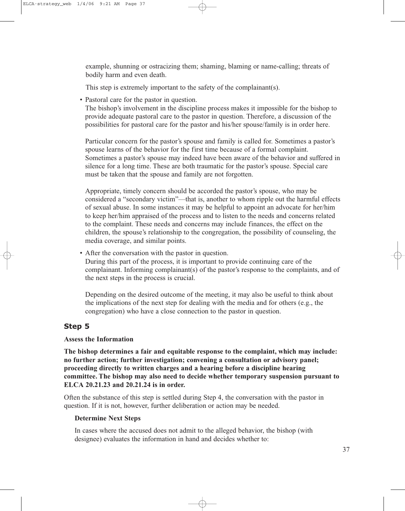example, shunning or ostracizing them; shaming, blaming or name-calling; threats of bodily harm and even death.

This step is extremely important to the safety of the complainant(s).

• Pastoral care for the pastor in question.

The bishop's involvement in the discipline process makes it impossible for the bishop to provide adequate pastoral care to the pastor in question. Therefore, a discussion of the possibilities for pastoral care for the pastor and his/her spouse/family is in order here.

Particular concern for the pastor's spouse and family is called for. Sometimes a pastor's spouse learns of the behavior for the first time because of a formal complaint. Sometimes a pastor's spouse may indeed have been aware of the behavior and suffered in silence for a long time. These are both traumatic for the pastor's spouse. Special care must be taken that the spouse and family are not forgotten.

Appropriate, timely concern should be accorded the pastor's spouse, who may be considered a "secondary victim"—that is, another to whom ripple out the harmful effects of sexual abuse. In some instances it may be helpful to appoint an advocate for her/him to keep her/him appraised of the process and to listen to the needs and concerns related to the complaint. These needs and concerns may include finances, the effect on the children, the spouse's relationship to the congregation, the possibility of counseling, the media coverage, and similar points.

• After the conversation with the pastor in question.

During this part of the process, it is important to provide continuing care of the complainant. Informing complainant(s) of the pastor's response to the complaints, and of the next steps in the process is crucial.

Depending on the desired outcome of the meeting, it may also be useful to think about the implications of the next step for dealing with the media and for others (e.g., the congregation) who have a close connection to the pastor in question.

#### **Step 5**

#### **Assess the Information**

**The bishop determines a fair and equitable response to the complaint, which may include: no further action; further investigation; convening a consultation or advisory panel; proceeding directly to written charges and a hearing before a discipline hearing committee. The bishop may also need to decide whether temporary suspension pursuant to ELCA 20.21.23 and 20.21.24 is in order.**

Often the substance of this step is settled during Step 4, the conversation with the pastor in question. If it is not, however, further deliberation or action may be needed.

#### **Determine Next Steps**

In cases where the accused does not admit to the alleged behavior, the bishop (with designee) evaluates the information in hand and decides whether to: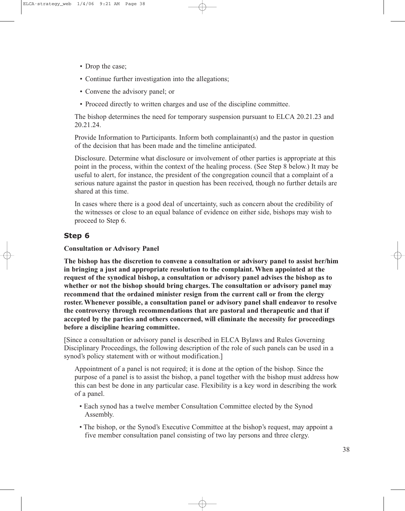- Drop the case;
- Continue further investigation into the allegations;
- Convene the advisory panel; or
- Proceed directly to written charges and use of the discipline committee.

The bishop determines the need for temporary suspension pursuant to ELCA 20.21.23 and 20.21.24.

Provide Information to Participants. Inform both complainant(s) and the pastor in question of the decision that has been made and the timeline anticipated.

Disclosure. Determine what disclosure or involvement of other parties is appropriate at this point in the process, within the context of the healing process. (See Step 8 below.) It may be useful to alert, for instance, the president of the congregation council that a complaint of a serious nature against the pastor in question has been received, though no further details are shared at this time.

In cases where there is a good deal of uncertainty, such as concern about the credibility of the witnesses or close to an equal balance of evidence on either side, bishops may wish to proceed to Step 6.

### **Step 6**

#### **Consultation or Advisory Panel**

**The bishop has the discretion to convene a consultation or advisory panel to assist her/him in bringing a just and appropriate resolution to the complaint. When appointed at the request of the synodical bishop, a consultation or advisory panel advises the bishop as to whether or not the bishop should bring charges. The consultation or advisory panel may recommend that the ordained minister resign from the current call or from the clergy roster. Whenever possible, a consultation panel or advisory panel shall endeavor to resolve the controversy through recommendations that are pastoral and therapeutic and that if accepted by the parties and others concerned, will eliminate the necessity for proceedings before a discipline hearing committee.**

[Since a consultation or advisory panel is described in ELCA Bylaws and Rules Governing Disciplinary Proceedings, the following description of the role of such panels can be used in a synod's policy statement with or without modification.]

Appointment of a panel is not required; it is done at the option of the bishop. Since the purpose of a panel is to assist the bishop, a panel together with the bishop must address how this can best be done in any particular case. Flexibility is a key word in describing the work of a panel.

- Each synod has a twelve member Consultation Committee elected by the Synod Assembly.
- The bishop, or the Synod's Executive Committee at the bishop's request, may appoint a five member consultation panel consisting of two lay persons and three clergy.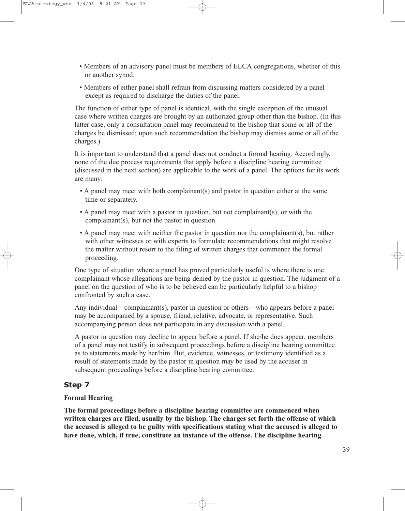- Members of an advisory panel must be members of ELCA congregations, whether of this or another synod.
- Members of either panel shall refrain from discussing matters considered by a panel except as required to discharge the duties of the panel.

The function of either type of panel is identical, with the single exception of the unusual case where written charges are brought by an authorized group other than the bishop. (In this latter case, only a consultation panel may recommend to the bishop that some or all of the charges be dismissed; upon such recommendation the bishop may dismiss some or all of the charges.)

It is important to understand that a panel does not conduct a formal hearing. Accordingly, none of the due process requirements that apply before a discipline hearing committee (discussed in the next section) are applicable to the work of a panel. The options for its work are many:

- A panel may meet with both complainant(s) and pastor in question either at the same time or separately.
- A panel may meet with a pastor in question, but not complainant(s), or with the complainant(s), but not the pastor in question.
- A panel may meet with neither the pastor in question nor the complainant(s), but rather with other witnesses or with experts to formulate recommendations that might resolve the matter without resort to the filing of written charges that commence the formal proceeding.

One type of situation where a panel has proved particularly useful is where there is one complainant whose allegations are being denied by the pastor in question. The judgment of a panel on the question of who is to be believed can be particularly helpful to a bishop confronted by such a case.

Any individual—complainant(s), pastor in question or others—who appears before a panel may be accompanied by a spouse, friend, relative, advocate, or representative. Such accompanying person does not participate in any discussion with a panel.

A pastor in question may decline to appear before a panel. If she/he does appear, members of a panel may not testify in subsequent proceedings before a discipline hearing committee as to statements made by her/him. But, evidence, witnesses, or testimony identified as a result of statements made by the pastor in question may be used by the accuser in subsequent proceedings before a discipline hearing committee.

### **Step 7**

#### **Formal Hearing**

**The formal proceedings before a discipline hearing committee are commenced when written charges are filed, usually by the bishop. The charges set forth the offense of which the accused is alleged to be guilty with specifications stating what the accused is alleged to have done, which, if true, constitute an instance of the offense. The discipline hearing**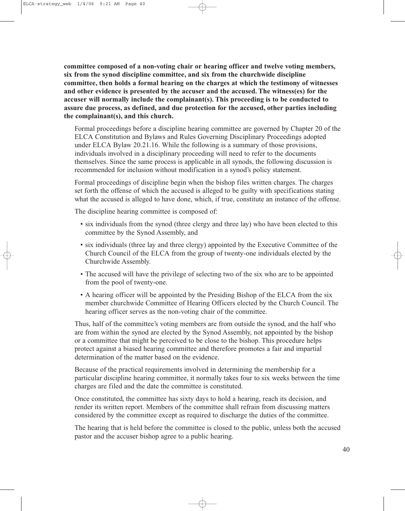**committee composed of a non-voting chair or hearing officer and twelve voting members, six from the synod discipline committee, and six from the churchwide discipline committee, then holds a formal hearing on the charges at which the testimony of witnesses and other evidence is presented by the accuser and the accused. The witness(es) for the accuser will normally include the complainant(s). This proceeding is to be conducted to assure due process, as defined, and due protection for the accused, other parties including the complainant(s), and this church.**

Formal proceedings before a discipline hearing committee are governed by Chapter 20 of the ELCA Constitution and Bylaws and Rules Governing Disciplinary Proceedings adopted under ELCA Bylaw 20.21.16. While the following is a summary of those provisions, individuals involved in a disciplinary proceeding will need to refer to the documents themselves. Since the same process is applicable in all synods, the following discussion is recommended for inclusion without modification in a synod's policy statement.

Formal proceedings of discipline begin when the bishop files written charges. The charges set forth the offense of which the accused is alleged to be guilty with specifications stating what the accused is alleged to have done, which, if true, constitute an instance of the offense.

The discipline hearing committee is composed of:

- six individuals from the synod (three clergy and three lay) who have been elected to this committee by the Synod Assembly, and
- six individuals (three lay and three clergy) appointed by the Executive Committee of the Church Council of the ELCA from the group of twenty-one individuals elected by the Churchwide Assembly.
- The accused will have the privilege of selecting two of the six who are to be appointed from the pool of twenty-one.
- A hearing officer will be appointed by the Presiding Bishop of the ELCA from the six member churchwide Committee of Hearing Officers elected by the Church Council. The hearing officer serves as the non-voting chair of the committee.

Thus, half of the committee's voting members are from outside the synod, and the half who are from within the synod are elected by the Synod Assembly, not appointed by the bishop or a committee that might be perceived to be close to the bishop. This procedure helps protect against a biased hearing committee and therefore promotes a fair and impartial determination of the matter based on the evidence.

Because of the practical requirements involved in determining the membership for a particular discipline hearing committee, it normally takes four to six weeks between the time charges are filed and the date the committee is constituted.

Once constituted, the committee has sixty days to hold a hearing, reach its decision, and render its written report. Members of the committee shall refrain from discussing matters considered by the committee except as required to discharge the duties of the committee.

The hearing that is held before the committee is closed to the public, unless both the accused pastor and the accuser bishop agree to a public hearing.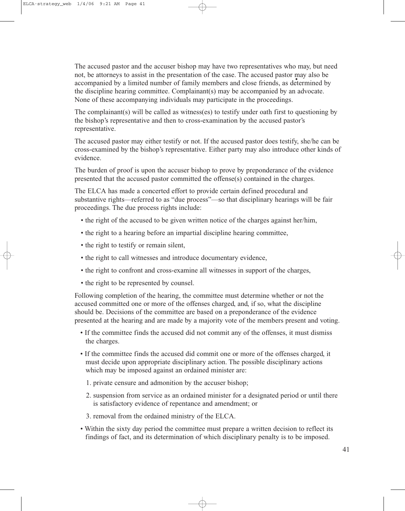The accused pastor and the accuser bishop may have two representatives who may, but need not, be attorneys to assist in the presentation of the case. The accused pastor may also be accompanied by a limited number of family members and close friends, as determined by a limited number of family members and close friends, as determined by the discipline hearing committee. Complainant(s) may be accompanied by an advocate. None of these accompanying individuals may participate in the proceedings.

The complainant(s) will be called as witness(es) to testify under oath first to questioning by the bishop's representative and then to cross-examination by the accused pastor's representative.

The accused pastor may either testify or not. If the accused pastor does testify, she/he can be cross-examined by the bishop's representative. Either party may also introduce other kinds of evidence.

The burden of proof is upon the accuser bishop to prove by preponderance of the evidence presented that the accused pastor committed the offense(s) contained in the charges.

The ELCA has made a concerted effort to provide certain defined procedural and substantive rights—referred to as "due process"—so that disciplinary hearings will be fair proceedings. The due process rights include:

- the right of the accused to be given written notice of the charges against her/him,
- the right to a hearing before an impartial discipline hearing committee,
- the right to testify or remain silent,
- the right to call witnesses and introduce documentary evidence,
- the right to confront and cross-examine all witnesses in support of the charges,
- the right to be represented by counsel.

Following completion of the hearing, the committee must determine whether or not the accused committed one or more of the offenses charged, and, if so, what the discipline should be. Decisions of the committee are based on a preponderance of the evidence presented at the hearing and are made by a majority vote of the members present and voting.

- If the committee finds the accused did not commit any of the offenses, it must dismiss the charges.
- If the committee finds the accused did commit one or more of the offenses charged, it must decide upon appropriate disciplinary action. The possible disciplinary actions which may be imposed against an ordained minister are:
	- 1. private censure and admonition by the accuser bishop;
	- 2. suspension from service as an ordained minister for a designated period or until there is satisfactory evidence of repentance and amendment; or
	- 3. removal from the ordained ministry of the ELCA.
- Within the sixty day period the committee must prepare a written decision to reflect its findings of fact, and its determination of which disciplinary penalty is to be imposed.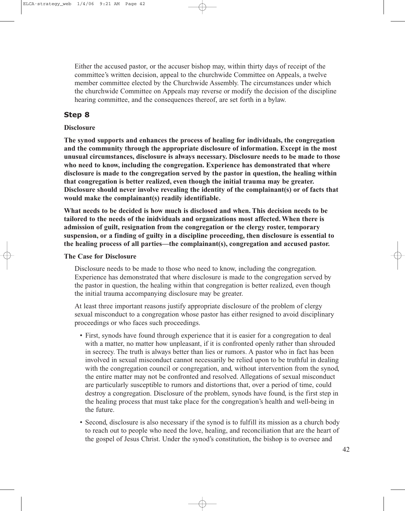Either the accused pastor, or the accuser bishop may, within thirty days of receipt of the committee's written decision, appeal to the churchwide Committee on Appeals, a twelve member committee elected by the Churchwide Assembly. The circumstances under which the churchwide Committee on Appeals may reverse or modify the decision of the discipline hearing committee, and the consequences thereof, are set forth in a bylaw.

### **Step 8**

#### **Disclosure**

**The synod supports and enhances the process of healing for individuals, the congregation and the community through the appropriate disclosure of information. Except in the most unusual circumstances, disclosure is always necessary. Disclosure needs to be made to those who need to know, including the congregation. Experience has demonstrated that where disclosure is made to the congregation served by the pastor in question, the healing within that congregation is better realized, even though the initial trauma may be greater. Disclosure should never involve revealing the identity of the complainant(s) or of facts that would make the complainant(s) readily identifiable.**

**What needs to be decided is how much is disclosed and when. This decision needs to be tailored to the needs of the inidviduals and organizations most affected. When there is admission of guilt, resignation from the congregation or the clergy roster, temporary suspension, or a finding of guilty in a discipline proceeding, then disclosure is essential to the healing process of all parties—the complainant(s), congregation and accused pastor.**

#### **The Case for Disclosure**

Disclosure needs to be made to those who need to know, including the congregation. Experience has demonstrated that where disclosure is made to the congregation served by the pastor in question, the healing within that congregation is better realized, even though the initial trauma accompanying disclosure may be greater.

At least three important reasons justify appropriate disclosure of the problem of clergy sexual misconduct to a congregation whose pastor has either resigned to avoid disciplinary proceedings or who faces such proceedings.

- First, synods have found through experience that it is easier for a congregation to deal with a matter, no matter how unpleasant, if it is confronted openly rather than shrouded in secrecy. The truth is always better than lies or rumors. A pastor who in fact has been involved in sexual misconduct cannot necessarily be relied upon to be truthful in dealing with the congregation council or congregation, and, without intervention from the synod, the entire matter may not be confronted and resolved. Allegations of sexual misconduct are particularly susceptible to rumors and distortions that, over a period of time, could destroy a congregation. Disclosure of the problem, synods have found, is the first step in the healing process that must take place for the congregation's health and well-being in the future.
- Second, disclosure is also necessary if the synod is to fulfill its mission as a church body to reach out to people who need the love, healing, and reconciliation that are the heart of the gospel of Jesus Christ. Under the synod's constitution, the bishop is to oversee and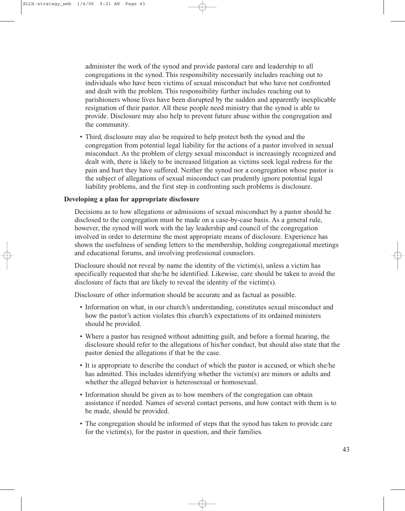administer the work of the synod and provide pastoral care and leadership to all congregations in the synod. This responsibility necessarily includes reaching out to individuals who have been victims of sexual misconduct but who have not confronted and dealt with the problem. This responsibility further includes reaching out to parishioners whose lives have been disrupted by the sudden and apparently inexplicable resignation of their pastor. All these people need ministry that the synod is able to provide. Disclosure may also help to prevent future abuse within the congregation and the community.

• Third, disclosure may also be required to help protect both the synod and the congregation from potential legal liability for the actions of a pastor involved in sexual misconduct. As the problem of clergy sexual misconduct is increasingly recognized and dealt with, there is likely to be increased litigation as victims seek legal redress for the pain and hurt they have suffered. Neither the synod nor a congregation whose pastor is the subject of allegations of sexual misconduct can prudently ignore potential legal liability problems, and the first step in confronting such problems is disclosure.

#### **Developing a plan for appropriate disclosure**

Decisions as to how allegations or admissions of sexual misconduct by a pastor should he disclosed to the congregation must be made on a case-by-case basis. As a general rule, however, the synod will work with the lay leadership and council of the congregation involved in order to determine the most appropriate means of disclosure. Experience has shown the usefulness of sending letters to the membership, holding congregational meetings and educational forums, and involving professional counselors.

Disclosure should not reveal by name the identity of the victim(s), unless a victim has specifically requested that she/he be identified. Likewise, care should be taken to avoid the disclosure of facts that are likely to reveal the identity of the victim(s).

Disclosure of other information should be accurate and as factual as possible.

- Information on what, in our church's understanding, constitutes sexual misconduct and how the pastor's action violates this church's expectations of its ordained ministers should be provided.
- Where a pastor has resigned without admitting guilt, and before a formal hearing, the disclosure should refer to the allegations of his/her conduct, but should also state that the pastor denied the allegations if that be the case.
- It is appropriate to describe the conduct of which the pastor is accused, or which she/he has admitted. This includes identifying whether the victim(s) are minors or adults and whether the alleged behavior is heterosexual or homosexual.
- Information should be given as to how members of the congregation can obtain assistance if needed. Names of several contact persons, and how contact with them is to be made, should be provided.
- The congregation should be informed of steps that the synod has taken to provide care for the victim(s), for the pastor in question, and their families.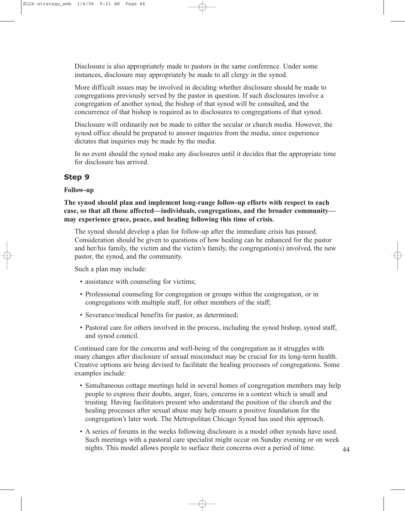Disclosure is also appropriately made to pastors in the same conference. Under some instances, disclosure may appropriately be made to all clergy in the synod.

More difficult issues may be involved in deciding whether disclosure should be made to congregations previously served by the pastor in question. If such disclosures involve a congregation of another synod, the bishop of that synod will be consulted, and the concurrence of that bishop is required as to disclosures to congregations of that synod.

Disclosure will ordinarily not be made to either the secular or church media. However, the synod office should be prepared to answer inquiries from the media, since experience dictates that inquiries may be made by the media.

In no event should the synod make any disclosures until it decides that the appropriate time for disclosure has arrived.

### **Step 9**

#### **Follow-up**

**The synod should plan and implement long-range follow-up efforts with respect to each case, so that all those affected—individuals, congregations, and the broader community may experience grace, peace, and healing following this time of crisis.**

The synod should develop a plan for follow-up after the immediate crisis has passed. Consideration should be given to questions of how healing can be enhanced for the pastor and her/his family, the victim and the victim's family, the congregation(s) involved, the new pastor, the synod, and the community.

Such a plan may include:

- assistance with counseling for victims;
- Professional counseling for congregation or groups within the congregation, or in congregations with multiple staff, for other members of the staff;
- Severance/medical benefits for pastor, as determined;
- Pastoral care for others involved in the process, including the synod bishop, synod staff, and synod council.

Continued care for the concerns and well-being of the congregation as it struggles with many changes after disclosure of sexual misconduct may be crucial for its long-term health. Creative options are being devised to facilitate the healing processes of congregations. Some examples include:

- Simultaneous cottage meetings held in several homes of congregation members may help people to express their doubts, anger, fears, concerns in a context which is small and trusting. Having facilitators present who understand the position of the church and the healing processes after sexual abuse may help ensure a positive foundation for the congregation's later work. The Metropolitan Chicago Synod has used this approach.
- A series of forums in the weeks following disclosure is a model other synods have used. Such meetings with a pastoral care specialist might occur on Sunday evening or on week nights. This model allows people to surface their concerns over a period of time. 44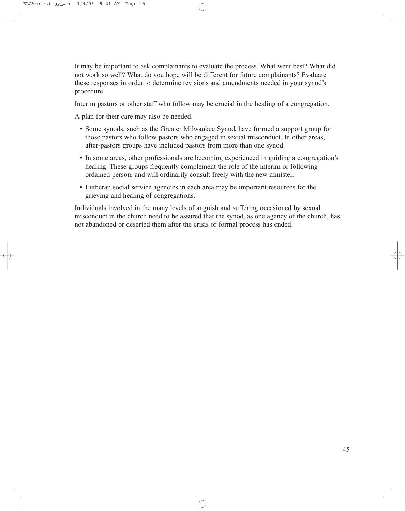It may be important to ask complainants to evaluate the process. What went best? What did not work so well? What do you hope will be different for future complainants? Evaluate these responses in order to determine revisions and amendments needed in your synod's procedure.

Interim pastors or other staff who follow may be crucial in the healing of a congregation.

A plan for their care may also be needed.

- Some synods, such as the Greater Milwaukee Synod, have formed a support group for those pastors who follow pastors who engaged in sexual misconduct. In other areas, after-pastors groups have included pastors from more than one synod.
- In some areas, other professionals are becoming experienced in guiding a congregation's healing. These groups frequently complement the role of the interim or following ordained person, and will ordinarily consult freely with the new minister.
- Lutheran social service agencies in each area may be important resources for the grieving and healing of congregations.

Individuals involved in the many levels of anguish and suffering occasioned by sexual misconduct in the church need to be assured that the synod, as one agency of the church, has not abandoned or deserted them after the crisis or formal process has ended.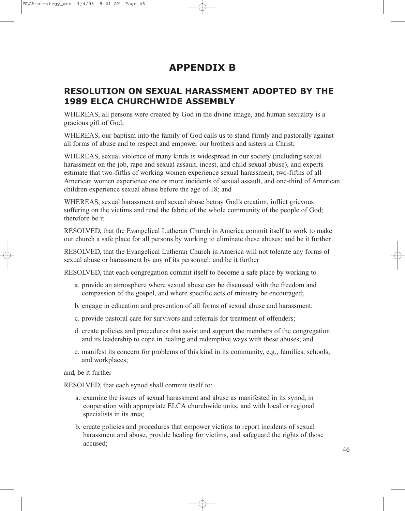## **APPENDIX B**

### **RESOLUTION ON SEXUAL HARASSMENT ADOPTED BY THE 1989 ELCA CHURCHWIDE ASSEMBLY**

WHEREAS, all persons were created by God in the divine image, and human sexuality is a gracious gift of God;

WHEREAS, our baptism into the family of God calls us to stand firmly and pastorally against all forms of abuse and to respect and empower our brothers and sisters in Christ;

WHEREAS, sexual violence of many kinds is widespread in our society (including sexual harassment on the job, rape and sexual assault, incest, and child sexual abuse), and experts estimate that two-fifths of working women experience sexual harassment, two-fifths of all American women experience one or more incidents of sexual assault, and one-third of American children experience sexual abuse before the age of 18; and

WHEREAS, sexual harassment and sexual abuse betray God's creation, inflict grievous suffering on the victims and rend the fabric of the whole community of the people of God; therefore be it

RESOLVED, that the Evangelical Lutheran Church in America commit itself to work to make our church a safe place for all persons by working to eliminate these abuses; and be it further

RESOLVED, that the Evangelical Lutheran Church in America will not tolerate any forms of sexual abuse or harassment by any of its personnel; and be it further

RESOLVED, that each congregation commit itself to become a safe place by working to

- a. provide an atmosphere where sexual abuse can be discussed with the freedom and compassion of the gospel, and where specific acts of ministry be encouraged;
- b. engage in education and prevention of all forms of sexual abuse and harassment;
- c. provide pastoral care for survivors and referrals for treatment of offenders;
- d. create policies and procedures that assist and support the members of the congregation and its leadership to cope in healing and redemptive ways with these abuses; and
- e. manifest its concern for problems of this kind in its community, e.g., families, schools, and workplaces;

and, be it further

RESOLVED, that each synod shall commit itself to:

- a. examine the issues of sexual harassment and abuse as manifested in its synod, in cooperation with appropriate ELCA churchwide units, and with local or regional specialists in its area;
- b. create policies and procedures that empower victims to report incidents of sexual harassment and abuse, provide healing for victims, and safeguard the rights of those accused;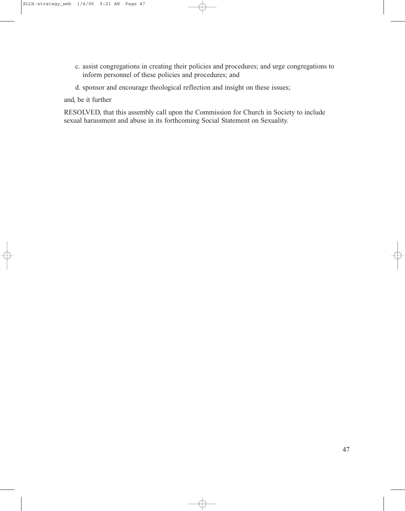- c. assist congregations in creating their policies and procedures; and urge congregations to inform personnel of these policies and procedures; and
- d. sponsor and encourage theological reflection and insight on these issues;

and, be it further

RESOLVED, that this assembly call upon the Commission for Church in Society to include sexual harassment and abuse in its forthcoming Social Statement on Sexuality.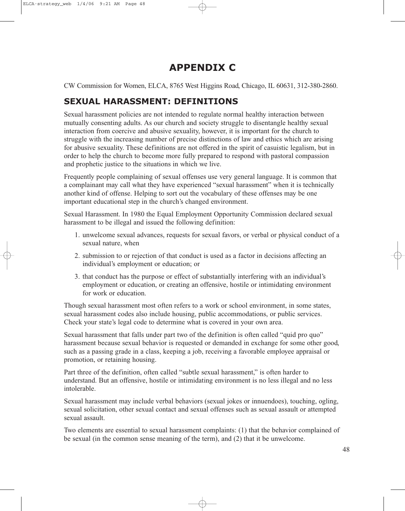## **APPENDIX C**

CW Commission for Women, ELCA, 8765 West Higgins Road, Chicago, IL 60631, 312-380-2860.

## **SEXUAL HARASSMENT: DEFINITIONS**

Sexual harassment policies are not intended to regulate normal healthy interaction between mutually consenting adults. As our church and society struggle to disentangle healthy sexual interaction from coercive and abusive sexuality, however, it is important for the church to struggle with the increasing number of precise distinctions of law and ethics which are arising for abusive sexuality. These definitions are not offered in the spirit of casuistic legalism, but in order to help the church to become more fully prepared to respond with pastoral compassion and prophetic justice to the situations in which we live.

Frequently people complaining of sexual offenses use very general language. It is common that a complainant may call what they have experienced "sexual harassment" when it is technically another kind of offense. Helping to sort out the vocabulary of these offenses may be one important educational step in the church's changed environment.

Sexual Harassment. In 1980 the Equal Employment Opportunity Commission declared sexual harassment to be illegal and issued the following definition:

- 1. unwelcome sexual advances, requests for sexual favors, or verbal or physical conduct of a sexual nature, when
- 2. submission to or rejection of that conduct is used as a factor in decisions affecting an individual's employment or education; or
- 3. that conduct has the purpose or effect of substantially interfering with an individual's employment or education, or creating an offensive, hostile or intimidating environment for work or education.

Though sexual harassment most often refers to a work or school environment, in some states, sexual harassment codes also include housing, public accommodations, or public services. Check your state's legal code to determine what is covered in your own area.

Sexual harassment that falls under part two of the definition is often called "quid pro quo" harassment because sexual behavior is requested or demanded in exchange for some other good, such as a passing grade in a class, keeping a job, receiving a favorable employee appraisal or promotion, or retaining housing.

Part three of the definition, often called "subtle sexual harassment," is often harder to understand. But an offensive, hostile or intimidating environment is no less illegal and no less intolerable.

Sexual harassment may include verbal behaviors (sexual jokes or innuendoes), touching, ogling, sexual solicitation, other sexual contact and sexual offenses such as sexual assault or attempted sexual assault.

Two elements are essential to sexual harassment complaints: (1) that the behavior complained of be sexual (in the common sense meaning of the term), and (2) that it be unwelcome.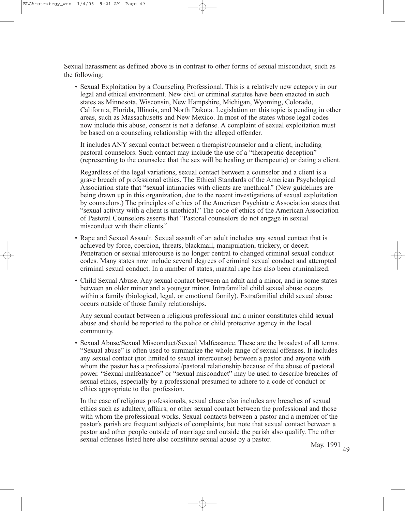Sexual harassment as defined above is in contrast to other forms of sexual misconduct, such as the following:

• Sexual Exploitation by a Counseling Professional. This is a relatively new category in our legal and ethical environment. New civil or criminal statutes have been enacted in such states as Minnesota, Wisconsin, New Hampshire, Michigan, Wyoming, Colorado, California, Florida, Illinois, and North Dakota. Legislation on this topic is pending in other areas, such as Massachusetts and New Mexico. In most of the states whose legal codes now include this abuse, consent is not a defense. A complaint of sexual exploitation must be based on a counseling relationship with the alleged offender.

It includes ANY sexual contact between a therapist/counselor and a client, including pastoral counselors. Such contact may include the use of a "therapeutic deception" (representing to the counselee that the sex will be healing or therapeutic) or dating a client.

Regardless of the legal variations, sexual contact between a counselor and a client is a grave breach of professional ethics. The Ethical Standards of the American Psychological Association state that "sexual intimacies with clients are unethical." (New guidelines are being drawn up in this organization, due to the recent investigations of sexual exploitation by counselors.) The principles of ethics of the American Psychiatric Association states that "sexual activity with a client is unethical." The code of ethics of the American Association of Pastoral Counselors asserts that "Pastoral counselors do not engage in sexual misconduct with their clients."

- Rape and Sexual Assault. Sexual assault of an adult includes any sexual contact that is achieved by force, coercion, threats, blackmail, manipulation, trickery, or deceit. Penetration or sexual intercourse is no longer central to changed criminal sexual conduct codes. Many states now include several degrees of criminal sexual conduct and attempted criminal sexual conduct. In a number of states, marital rape has also been criminalized.
- Child Sexual Abuse. Any sexual contact between an adult and a minor, and in some states between an older minor and a younger minor. Intrafamilial child sexual abuse occurs within a family (biological, legal, or emotional family). Extrafamilial child sexual abuse occurs outside of those family relationships.

Any sexual contact between a religious professional and a minor constitutes child sexual abuse and should be reported to the police or child protective agency in the local community.

• Sexual Abuse/Sexual Misconduct/Sexual Malfeasance. These are the broadest of all terms. "Sexual abuse" is often used to summarize the whole range of sexual offenses. It includes any sexual contact (not limited to sexual intercourse) between a pastor and anyone with whom the pastor has a professional/pastoral relationship because of the abuse of pastoral power. "Sexual malfeasance" or "sexual misconduct" may be used to describe breaches of sexual ethics, especially by a professional presumed to adhere to a code of conduct or ethics appropriate to that profession.

In the case of religious professionals, sexual abuse also includes any breaches of sexual ethics such as adultery, affairs, or other sexual contact between the professional and those with whom the professional works. Sexual contacts between a pastor and a member of the pastor's parish are frequent subjects of complaints; but note that sexual contact between a pastor and other people outside of marriage and outside the parish also qualify. The other sexual offenses listed here also constitute sexual abuse by a pastor.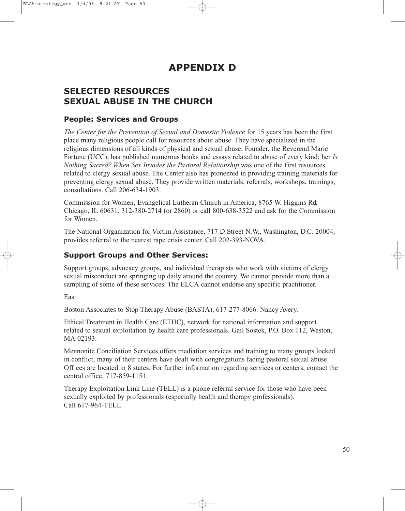## **APPENDIX D**

## **SELECTED RESOURCES SEXUAL ABUSE IN THE CHURCH**

### **People: Services and Groups**

*The Center for the Prevention of Sexual and Domestic Violence* for 15 years has been the first place many religious people call for resources about abuse. They have specialized in the religious dimensions of all kinds of physical and sexual abuse. Founder, the Reverend Marie Fortune (UCC), has published numerous books and essays related to abuse of every kind; her *Is Nothing Sacred? When Sex Invades the Pastoral Relationship* was one of the first resources related to clergy sexual abuse. The Center also has pioneered in providing training materials for preventing clergy sexual abuse. They provide written materials, referrals, workshops, trainings, consultations. Call 206-634-1903.

Commission for Women, Evangelical Lutheran Church in America, 8765 W. Higgins Rd, Chicago, IL 60631, 312-380-2714 (or 2860) or call 800-638-3522 and ask for the Commission for Women.

The National Organization for Victim Assistance, 717 D Street N.W., Washington, D.C. 20004, provides referral to the nearest rape crisis center. Call 202-393-NOVA.

### **Support Groups and Other Services:**

Support groups, advocacy groups, and individual therapists who work with victims of clergy sexual misconduct are springing up daily around the country. We cannot provide more than a sampling of some of these services. The ELCA cannot endorse any specific practitioner.

East:

Boston Associates to Stop Therapy Abuse (BASTA), 617-277-8066. Nancy Avery.

Ethical Treatment in Health Care (ETHC), network for national information and support related to sexual exploitation by health care professionals. Gail Sostek, P.O. Box 112, Weston, MA 02193.

Mennonite Conciliation Services offers mediation services and training to many groups locked in conflict; many of their centers have dealt with congregations facing pastoral sexual abuse. Offices are located in 8 states. For further information regarding services or centers, contact the central office, 717-859-1151.

Therapy Exploitation Link Line (TELL) is a phone referral service for those who have been sexually exploited by professionals (especially health and therapy professionals). Call 617-964-TELL.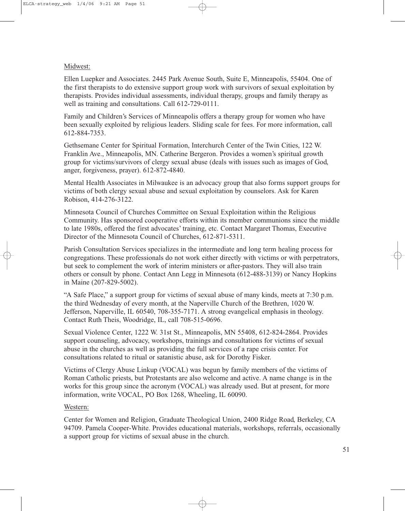#### Midwest:

Ellen Luepker and Associates. 2445 Park Avenue South, Suite E, Minneapolis, 55404. One of the first therapists to do extensive support group work with survivors of sexual exploitation by therapists. Provides individual assessments, individual therapy, groups and family therapy as well as training and consultations. Call 612-729-0111.

Family and Children's Services of Minneapolis offers a therapy group for women who have been sexually exploited by religious leaders. Sliding scale for fees. For more information, call 612-884-7353.

Gethsemane Center for Spiritual Formation, Interchurch Center of the Twin Cities, 122 W. Franklin Ave., Minneapolis, MN. Catherine Bergeron. Provides a women's spiritual growth group for victims/survivors of clergy sexual abuse (deals with issues such as images of God, anger, forgiveness, prayer). 612-872-4840.

Mental Health Associates in Milwaukee is an advocacy group that also forms support groups for victims of both clergy sexual abuse and sexual exploitation by counselors. Ask for Karen Robison, 414-276-3122.

Minnesota Council of Churches Committee on Sexual Exploitation within the Religious Community. Has sponsored cooperative efforts within its member communions since the middle to late 1980s, offered the first advocates' training, etc. Contact Margaret Thomas, Executive Director of the Minnesota Council of Churches, 612-871-5311.

Parish Consultation Services specializes in the intermediate and long term healing process for congregations. These professionals do not work either directly with victims or with perpetrators, but seek to complement the work of interim ministers or after-pastors. They will also train others or consult by phone. Contact Ann Legg in Minnesota (612-488-3139) or Nancy Hopkins in Maine (207-829-5002).

"A Safe Place," a support group for victims of sexual abuse of many kinds, meets at 7:30 p.m. the third Wednesday of every month, at the Naperville Church of the Brethren, 1020 W. Jefferson, Naperville, IL 60540, 708-355-7171. A strong evangelical emphasis in theology. Contact Ruth Theis, Woodridge, IL, call 708-515-0696.

Sexual Violence Center, 1222 W. 31st St., Minneapolis, MN 55408, 612-824-2864. Provides support counseling, advocacy, workshops, trainings and consultations for victims of sexual abuse in the churches as well as providing the full services of a rape crisis center. For consultations related to ritual or satanistic abuse, ask for Dorothy Fisker.

Victims of Clergy Abuse Linkup (VOCAL) was begun by family members of the victims of Roman Catholic priests, but Protestants are also welcome and active. A name change is in the works for this group since the acronym (VOCAL) was already used. But at present, for more information, write VOCAL, PO Box 1268, Wheeling, IL 60090.

#### Western:

Center for Women and Religion, Graduate Theological Union, 2400 Ridge Road, Berkeley, CA 94709. Pamela Cooper-White. Provides educational materials, workshops, referrals, occasionally a support group for victims of sexual abuse in the church.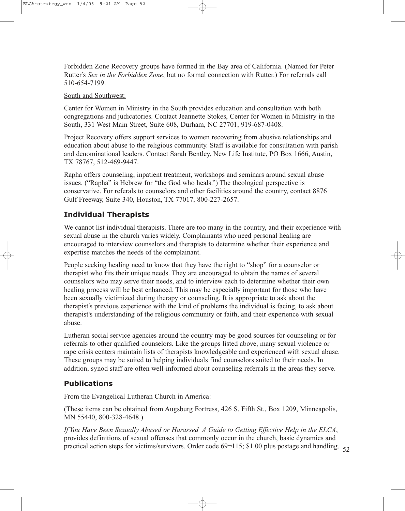Forbidden Zone Recovery groups have formed in the Bay area of California. (Named for Peter Rutter's *Sex in the Forbidden Zone*, but no formal connection with Rutter.) For referrals call 510-654-7199.

South and Southwest:

Center for Women in Ministry in the South provides education and consultation with both congregations and judicatories. Contact Jeannette Stokes, Center for Women in Ministry in the South, 331 West Main Street, Suite 608, Durham, NC 27701, 919-687-0408.

Project Recovery offers support services to women recovering from abusive relationships and education about abuse to the religious community. Staff is available for consultation with parish and denominational leaders. Contact Sarah Bentley, New Life Institute, PO Box 1666, Austin, TX 78767, 512-469-9447.

Rapha offers counseling, inpatient treatment, workshops and seminars around sexual abuse issues. ("Rapha" is Hebrew for "the God who heals.") The theological perspective is conservative. For referals to counselors and other facilities around the country, contact 8876 Gulf Freeway, Suite 340, Houston, TX 77017, 800-227-2657.

### **Individual Therapists**

We cannot list individual therapists. There are too many in the country, and their experience with sexual abuse in the church varies widely. Complainants who need personal healing are encouraged to interview counselors and therapists to determine whether their experience and expertise matches the needs of the complainant.

People seeking healing need to know that they have the right to "shop" for a counselor or therapist who fits their unique needs. They are encouraged to obtain the names of several counselors who may serve their needs, and to interview each to determine whether their own healing process will be best enhanced. This may be especially important for those who have been sexually victimized during therapy or counseling. It is appropriate to ask about the therapist's previous experience with the kind of problems the individual is facing, to ask about therapist's understanding of the religious community or faith, and their experience with sexual abuse.

Lutheran social service agencies around the country may be good sources for counseling or for referrals to other qualified counselors. Like the groups listed above, many sexual violence or rape crisis centers maintain lists of therapists knowledgeable and experienced with sexual abuse. These groups may be suited to helping individuals find counselors suited to their needs. In addition, synod staff are often well-informed about counseling referrals in the areas they serve.

### **Publications**

From the Evangelical Lutheran Church in America:

(These items can be obtained from Augsburg Fortress, 426 S. Fifth St., Box 1209, Minneapolis, MN 55440, 800-328-4648.)

practical action steps for victims/survivors. Order code 69–115; \$1.00 plus postage and handling. 52 *If You Have Been Sexually Abused or Harassed A Guide to Getting Effective Help in the ELCA*, provides definitions of sexual offenses that commonly occur in the church, basic dynamics and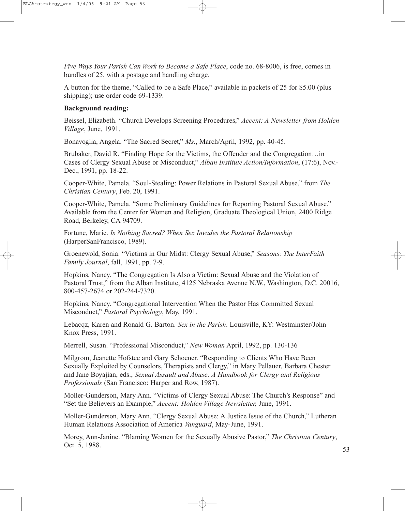*Five Ways Your Parish Can Work to Become a Safe Place*, code no. 68-8006, is free, comes in bundles of 25, with a postage and handling charge.

A button for the theme, "Called to be a Safe Place," available in packets of 25 for \$5.00 (plus shipping); use order code 69-1339.

#### **Background reading:**

Beissel, Elizabeth. "Church Develops Screening Procedures," *Accent: A Newsletter from Holden Village*, June, 1991.

Bonavoglia, Angela. "The Sacred Secret," *Ms.*, March/April, 1992, pp. 40-45.

Brubaker, David R. "Finding Hope for the Victims, the Offender and the Congregation…in Cases of Clergy Sexual Abuse or Misconduct," *Alban Institute Action/Information*, (17:6), Nov.- Dec., 1991, pp. 18-22.

Cooper-White, Pamela. "Soul-Stealing: Power Relations in Pastoral Sexual Abuse," from *The Christian Century*, Feb. 20, 1991.

Cooper-White, Pamela. "Some Preliminary Guidelines for Reporting Pastoral Sexual Abuse." Available from the Center for Women and Religion, Graduate Theological Union, 2400 Ridge Road, Berkeley, CA 94709.

Fortune, Marie. *Is Nothing Sacred? When Sex Invades the Pastoral Relationship* (HarperSanFrancisco, 1989).

Groenewold, Sonia. "Victims in Our Midst: Clergy Sexual Abuse," *Seasons: The InterFaith Family Journal*, fall, 1991, pp. 7-9.

Hopkins, Nancy. "The Congregation Is Also a Victim: Sexual Abuse and the Violation of Pastoral Trust," from the Alban Institute, 4125 Nebraska Avenue N.W., Washington, D.C. 20016, 800-457-2674 or 202-244-7320.

Hopkins, Nancy. "Congregational Intervention When the Pastor Has Committed Sexual Misconduct," *Pastoral Psychology*, May, 1991.

Lebacqz, Karen and Ronald G. Barton. *Sex in the Parish*. Louisville, KY: Westminster/John Knox Press, 1991.

Merrell, Susan. "Professional Misconduct," *New Woman* April, 1992, pp. 130-136

Milgrom, Jeanette Hofstee and Gary Schoener. "Responding to Clients Who Have Been Sexually Exploited by Counselors, Therapists and Clergy," in Mary Pellauer, Barbara Chester and Jane Boyajian, eds., *Sexual Assault and Abuse: A Handbook for Clergy and Religious Professionals* (San Francisco: Harper and Row, 1987).

Moller-Gunderson, Mary Ann. "Victims of Clergy Sexual Abuse: The Church's Response" and "Set the Believers an Example," *Accent: Holden Village Newsletter,* June, 1991.

Moller-Gunderson, Mary Ann. "Clergy Sexual Abuse: A Justice Issue of the Church," Lutheran Human Relations Association of America *Vanguard*, May-June, 1991.

Morey, Ann-Janine. "Blaming Women for the Sexually Abusive Pastor," *The Christian Century*, Oct. 5, 1988.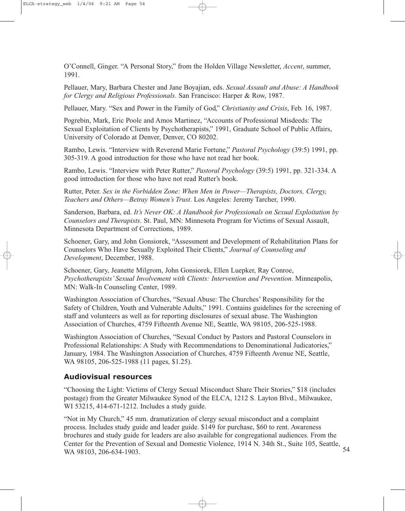O'Connell, Ginger. "A Personal Story," from the Holden Village Newsletter, *Accent*, summer, 1991.

Pellauer, Mary, Barbara Chester and Jane Boyajian, eds. *Sexual Assault and Abuse: A Handbook for Clergy and Religious Professionals*. San Francisco: Harper & Row, 1987.

Pellauer, Mary. "Sex and Power in the Family of God," *Christianity and Crisis*, Feb. 16, 1987.

Pogrebin, Mark, Eric Poole and Amos Martinez, "Accounts of Professional Misdeeds: The Sexual Exploitation of Clients by Psychotherapists," 1991, Graduate School of Public Affairs, University of Colorado at Denver, Denver, CO 80202.

Rambo, Lewis. "Interview with Reverend Marie Fortune," *Pastoral Psychology* (39:5) 1991, pp. 305-319. A good introduction for those who have not read her book.

Rambo, Lewis. "Interview with Peter Rutter," *Pastoral Psychology* (39:5) 1991, pp. 321-334. A good introduction for those who have not read Rutter's book.

Rutter, Peter. *Sex in the Forbidden Zone: When Men in Power—Therapists, Doctors, Clergy, Teachers and Others—Betray Women's Trust*. Los Angeles: Jeremy Tarcher, 1990.

Sanderson, Barbara, ed. *It's Never OK: A Handbook for Professionals on Sexual Exploitation by Counselors and Therapists*. St. Paul, MN: Minnesota Program for Victims of Sexual Assault, Minnesota Department of Corrections, 1989.

Schoener, Gary, and John Gonsiorek, "Assessment and Development of Rehabilitation Plans for Counselors Who Have Sexually Exploited Their Clients," *Journal of Counseling and Development*, December, 1988.

Schoener, Gary, Jeanette Milgrom, John Gonsiorek, Ellen Luepker, Ray Conroe, *Psychotherapists' Sexual Involvement with Clients: Intervention and Prevention*. Minneapolis, MN: Walk-In Counseling Center, 1989.

Washington Association of Churches, "Sexual Abuse: The Churches' Responsibility for the Safety of Children, Youth and Vulnerable Adults," 1991. Contains guidelines for the screening of staff and volunteers as well as for reporting disclosures of sexual abuse. The Washington Association of Churches, 4759 Fifteenth Avenue NE, Seattle, WA 98105, 206-525-1988.

Washington Association of Churches, "Sexual Conduct by Pastors and Pastoral Counselors in Professional Relationships: A Study with Recommendations to Denominational Judicatories," January, 1984. The Washington Association of Churches, 4759 Fifteenth Avenue NE, Seattle, WA 98105, 206-525-1988 (11 pages, \$1.25).

#### **Audiovisual resources**

"Choosing the Light: Victims of Clergy Sexual Misconduct Share Their Stories," \$18 (includes postage) from the Greater Milwaukee Synod of the ELCA, 1212 S. Layton Blvd., Milwaukee, WI 53215, 414-671-1212. Includes a study guide.

54 "Not in My Church," 45 mm. dramatization of clergy sexual misconduct and a complaint process. Includes study guide and leader guide. \$149 for purchase, \$60 to rent. Awareness brochures and study guide for leaders are also available for congregational audiences. From the Center for the Prevention of Sexual and Domestic Violence, 1914 N. 34th St., Suite 105, Seattle, WA 98103, 206-634-1903.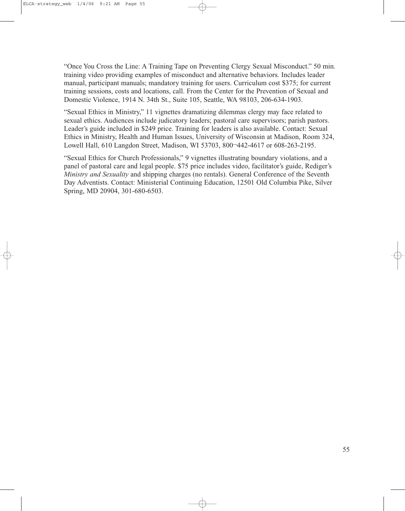"Once You Cross the Line: A Training Tape on Preventing Clergy Sexual Misconduct." 50 min. training video providing examples of misconduct and alternative behaviors. Includes leader manual, participant manuals; mandatory training for users. Curriculum cost \$375; for current training sessions, costs and locations, call. From the Center for the Prevention of Sexual and Domestic Violence, 1914 N. 34th St., Suite 105, Seattle, WA 98103, 206-634-1903.

"Sexual Ethics in Ministry," 11 vignettes dramatizing dilemmas clergy may face related to sexual ethics. Audiences include judicatory leaders; pastoral care supervisors; parish pastors. Leader's guide included in \$249 price. Training for leaders is also available. Contact: Sexual Ethics in Ministry, Health and Human Issues, University of Wisconsin at Madison, Room 324, Lowell Hall, 610 Langdon Street, Madison, WI 53703, 800¬442-4617 or 608-263-2195.

"Sexual Ethics for Church Professionals," 9 vignettes illustrating boundary violations, and a panel of pastoral care and legal people. \$75 price includes video, facilitator's guide, Rediger's *Ministry and Sexuality* and shipping charges (no rentals). General Conference of the Seventh Day Adventists. Contact: Ministerial Continuing Education, 12501 Old Columbia Pike, Silver Spring, MD 20904, 301-680-6503.